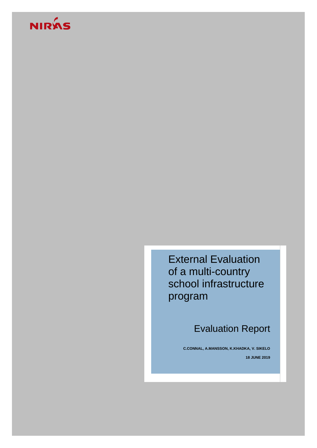# NIRÁS

External Evaluation of a multi-country school infrastructure program

Evaluation Report

**C.CONNAL, A.MANSSON, K.KHADKA, V. SIKELO 18 JUNE 2019**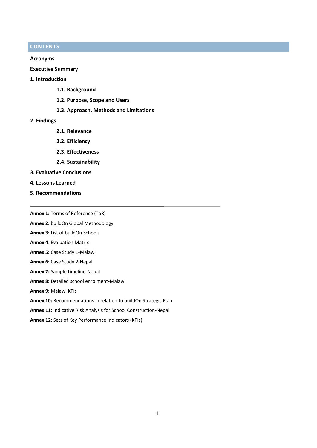# **CONTENTS**

# **Acronyms**

**Executive Summary**

# **1. Introduction**

- **1.1. Background**
- **1.2. Purpose, Scope and Users**
- **1.3. Approach, Methods and Limitations**

# **2. Findings**

- **2.1. Relevance**
- **2.2. Efficiency**
- **2.3. Effectiveness**
- **2.4. Sustainability**
- **3. Evaluative Conclusions**
- **4. Lessons Learned**
- **5. Recommendations**

**Annex 1:** Terms of Reference (ToR)

**Annex 2:** buildOn Global Methodology

- **Annex 3:** List of buildOn Schools
- **Annex 4**: Evaluation Matrix
- **Annex 5:** Case Study 1-Malawi
- **Annex 6:** Case Study 2-Nepal
- **Annex 7:** Sample timeline-Nepal
- **Annex 8:** Detailed school enrolment-Malawi
- **Annex 9:** Malawi KPIs
- **Annex 10:** Recommendations in relation to buildOn Strategic Plan
- **Annex 11:** Indicative Risk Analysis for School Construction-Nepal

**Annex 12:** Sets of Key Performance Indicators (KPIs)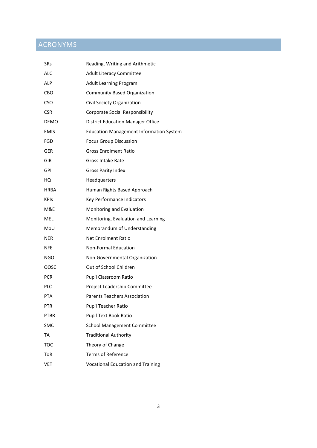# ACRONYMS

| 3Rs         | Reading, Writing and Arithmetic                |
|-------------|------------------------------------------------|
| ALC         | <b>Adult Literacy Committee</b>                |
| ALP         | Adult Learning Program                         |
| CBO         | <b>Community Based Organization</b>            |
| <b>CSO</b>  | Civil Society Organization                     |
| <b>CSR</b>  | <b>Corporate Social Responsibility</b>         |
| DEMO        | <b>District Education Manager Office</b>       |
| <b>EMIS</b> | <b>Education Management Information System</b> |
| FGD         | <b>Focus Group Discussion</b>                  |
| GER         | <b>Gross Enrolment Ratio</b>                   |
| GIR         | Gross Intake Rate                              |
| GPI         | Gross Parity Index                             |
| HQ          | Headquarters                                   |
| HRBA        | Human Rights Based Approach                    |
| <b>KPIS</b> | Key Performance Indicators                     |
| M&E         | Monitoring and Evaluation                      |
| <b>MEL</b>  | Monitoring, Evaluation and Learning            |
| MoU         | Memorandum of Understanding                    |
| NER         | <b>Net Enrolment Ratio</b>                     |
| <b>NFE</b>  | <b>Non-Formal Education</b>                    |
| NGO         | Non-Governmental Organization                  |
| OOSC        | Out of School Children                         |
| <b>PCR</b>  | Pupil Classroom Ratio                          |
| PLC         | Project Leadership Committee                   |
| PTA         | <b>Parents Teachers Association</b>            |
| <b>PTR</b>  | Pupil Teacher Ratio                            |
| <b>PTBR</b> | <b>Pupil Text Book Ratio</b>                   |
| SMC         | <b>School Management Committee</b>             |
| TA          | <b>Traditional Authority</b>                   |
| <b>TOC</b>  | Theory of Change                               |
| ToR         | <b>Terms of Reference</b>                      |
| <b>VET</b>  | <b>Vocational Education and Training</b>       |
|             |                                                |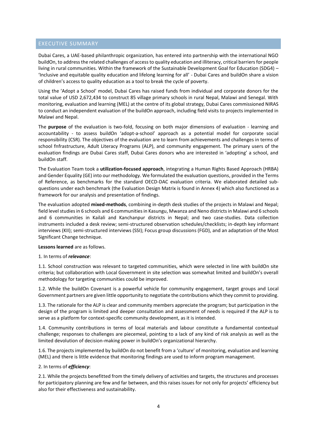# EXECUTIVE SUMMARY

Dubai Cares, a UAE-based philanthropic organization, has entered into partnership with the international NGO buildOn, to address the related challenges of access to quality education and illiteracy, critical barriers for people living in rural communities. Within the framework of the Sustainable Development Goal for Education (SDG4) – 'Inclusive and equitable quality education and lifelong learning for all' - Dubai Cares and buildOn share a vision of children's access to quality education as a tool to break the cycle of poverty.

Using the 'Adopt a School' model, Dubai Cares has raised funds from individual and corporate donors for the total value of USD 2,672,434 to construct 85 village primary schools in rural Nepal, Malawi and Senegal. With monitoring, evaluation and learning (MEL) at the centre of its global strategy, Dubai Cares commissioned NIRAS to conduct an independent evaluation of the buildOn approach, including field visits to projects implemented in Malawi and Nepal.

The **purpose** of the evaluation is two-fold, focusing on both major dimensions of evaluation - learning and accountability - to assess buildOn 'adopt-a-school' approach as a potential model for corporate social responsibility (CSR). The objectives of the evaluation are to learn from achievements and challenges in terms of school fnfrastructure, Adult Literacy Programs (ALP), and community engagement. The primary users of the evaluation findings are Dubai Cares staff, Dubai Cares donors who are interested in 'adopting' a school, and buildOn staff.

The Evaluation Team took a **utilization-focused approach**, integrating a Human Rights Based Approach (HRBA) and Gender Equality (GE) into our methodology. We formulated the evaluation questions, provided in the Terms of Reference, as benchmarks for the standard OECD-DAC evaluation criteria. We elaborated detailed subquestions under each benchmark (the Evaluation Design Matrix is found in Annex 4) which also functioned as a framework for our analysis and presentation of findings.

The evaluation adopted **mixed-methods**, combining in-depth desk studies of the projects in Malawi and Nepal; field level studies in 6 schools and 6 communities in Kasungu, Mwanza and Neno districts in Malawi and 6 schools and 6 communities in Kailali and Kanchanpur districts in Nepal; and two case-studies. Data collection instruments included a desk review; semi-structured observation schedules/checklists; in-depth key informant interviews (KII); semi-structured interviews (SSI); Focus group discussions (FGD), and an adaptation of the Most Significant Change technique.

# **Lessons learned** are as follows.

#### 1. In terms of *relevance*:

1.1. School construction was relevant to targeted communities, which were selected in line with buildOn site criteria; but collaboration with Local Government in site selection was somewhat limited and buildOn's overall methodology for targeting communities could be improved.

1.2. While the buildOn Covenant is a powerful vehicle for community engagement, target groups and Local Government partners are given little opportunity to negotiate the contributions which they commit to providing.

1.3. The rationale for the ALP is clear and community members appreciate the program; but participation in the design of the program is limited and deeper consultation and assessment of needs is required if the ALP is to serve as a platform for context-specific community development, as it is intended.

1.4. Community contributions in terms of local materials and labour constitute a fundamental contextual challenge; responses to challenges are piecemeal, pointing to a lack of any kind of risk analysis as well as the limited devolution of decision-making power in buildOn's organizational hierarchy.

1.6. The projects implemented by buildOn do not benefit from a 'culture' of monitoring, evaluation and learning (MEL) and there is little evidence that monitoring findings are used to inform program management.

#### 2. In terms of *efficiency*:

2.1. While the projects benefitted from the timely delivery of activities and targets, the structures and processes for participatory planning are few and far between, and this raises issues for not only for projects' efficiency but also for their effectiveness and sustainability.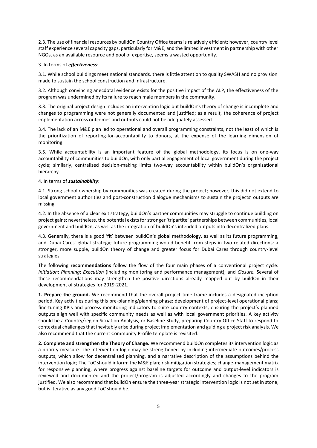2.3. The use of financial resources by buildOn Country Office teams is relatively efficient; however, country level staff experience several capacity gaps, particularly for M&E, and the limited investment in partnership with other NGOs, as an available resource and pool of expertise, seems a wasted opportunity.

#### 3. In terms of *effectiveness*:

3.1. While school buildings meet national standards. there is little attention to quality SWASH and no provision made to sustain the school construction and infrastructure.

3.2. Although convincing anecdotal evidence exists for the positive impact of the ALP, the effectiveness of the program was undermined by its failure to reach male members in the community.

3.3. The original project design includes an intervention logic but buildOn's theory of change is incomplete and changes to programming were not generally documented and justified; as a result, the coherence of project implementation across outcomes and outputs could not be adequately assessed.

3.4. The lack of an M&E plan led to operational and overall programming constraints, not the least of which is the prioritization of reporting-for-accountability to donors, at the expense of the learning dimension of monitoring.

3.5. While accountability is an important feature of the global methodology, its focus is on one-way accountability of communities to buildOn, with only partial engagement of local government during the project cycle; similarly, centralized decision-making limits two-way accountability within buildOn's organizational hierarchy.

#### 4. In terms of *sustainability*:

4.1. Strong school ownership by communities was created during the project; however, this did not extend to local government authorities and post-construction dialogue mechanisms to sustain the projects' outputs are missing.

4.2. In the absence of a clear exit strategy, buildOn's partner communities may struggle to continue building on project gains; nevertheless, the potential exists for stronger 'tripartite' partnerships between communities, local government and buildOn, as well as the integration of buildOn's intended outputs into decentralized plans.

4.3. Generally, there is a good 'fit' between buildOn's global methodology, as well as its future programming, and Dubai Cares' global strategy; future programming would benefit from steps in two related directions: a stronger, more supple, buildOn theory of change and greater focus for Dubai Cares through country-level strategies.

The following **recommendations** follow the flow of the four main phases of a conventional project cycle: *Initiation*; *Planning*; *Execution* (including monitoring and performance management); and *Closure.* Several of these recommendations may strengthen the positive directions already mapped out by buildOn in their development of strategies for 2019-2021.

**1. Prepare the ground.** We recommend that the overall project time-frame includes a designated inception period. Key activities during this pre-planning/planning phase: development of project-level operational plans; fine-tuning KPIs and process monitoring indicators to suite country contexts; ensuring the project's planned outputs align well with specific community needs as well as with local government priorities. A key activity should be a Country/region Situation Analysis, or Baseline Study, preparing Country Office Staff to respond to contextual challenges that inevitably arise during project implementation and guiding a project risk analysis. We also recommend that the current Community Profile template is revisited.

**2. Complete and strengthen the Theory of Change.** We recommend buildOn completes its intervention logic as a priority measure. The intervention logic may be strengthened by including intermediate outcomes/process outputs, which allow for decentralized planning, and a narrative description of the assumptions behind the intervention logic; The ToC should inform: the M&E plan; risk-mitigation strategies; change-management matrix for responsive planning, where progress against baseline targets for outcome and output-level indicators is reviewed and documented and the project/program is adjusted accordingly and changes to the program justified. We also recommend that buildOn ensure the three-year strategic intervention logic is not set in stone, but is iterative as any good ToC should be.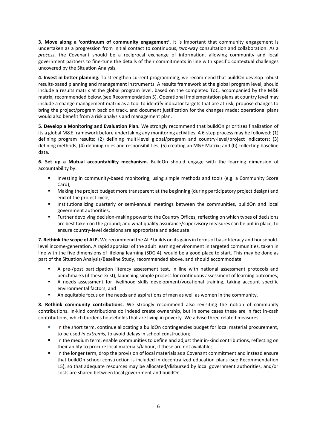**3. Move along a 'continuum of community engagement'**. It is important that community engagement is undertaken as a progression from initial contact to continuous, two-way consultation and collaboration. As a *process*, the Covenant should be a reciprocal exchange of information, allowing community and local government partners to fine-tune the details of their commitments in line with specific contextual challenges uncovered by the Situation Analysis.

**4. Invest in better planning.** To strengthen current programming, we recommend that buildOn develop robust results-based planning and management instruments. A results framework at the global program level, should include a results matrix at the global program level, based on the completed ToC, accompanied by the M&E matrix, recommended below.(see Recommendation 5). Operational implementation plans at country level may include a change management matrix as a tool to identify indicator targets that are at risk, propose changes to bring the project/program back on track, and document justification for the changes made; operational plans would also benefit from a risk analysis and management plan.

**5. Develop a Monitoring and Evaluation Plan***.* We strongly recommend that buildOn prioritizes finalization of its a global M&E framework before undertaking any monitoring activities. A 6-step process may be followed: (1) defining program results; (2) defining multi-level global/program and country-level/project indicators; (3) defining methods; (4) defining roles and responsibilities; (5) creating an M&E Matrix; and (b) collecting baseline data.

**6. Set up a Mutual accountability mechanism.** BuildOn should engage with the learning dimension of accountability by:

- Investing in community-based monitoring, using simple methods and tools (e.g. a Community Score Card);
- Making the project budget more transparent at the beginning (during participatory project design) and end of the project cycle;
- Institutionalizing quarterly or semi-annual meetings between the communities, buildOn and local government authorities;
- Further devolving decision-making power to the Country Offices, reflecting on which types of decisions are best taken on the ground; and what quality assurance/supervisory measures can be put in place, to ensure country-level decisions are appropriate and adequate.

**7. Rethink the scope of ALP.** We recommend the ALP builds on its gains in terms of basic literacy and householdlevel income-generation. A rapid appraisal of the adult learning environment in targeted communities, taken in line with the five dimensions of lifelong learning (SDG 4), would be a good place to start. This may be done as part of the Situation Analysis/Baseline Study, recommended above, and should accommodate

- A pre-/post participation literacy assessment test, in line with national assessment protocols and benchmarks (if these exist), launching simple process for continuous assessment of learning outcomes;
- A needs assessment for livelihood skills development/vocational training, taking account specific environmental factors; and
- An equitable focus on the needs and aspirations of men as well as women in the community.

**8. Rethink community contributions.** We strongly recommend also revisiting the notion of community contributions. In-kind contributions do indeed create ownership, but in some cases these are in fact in-cash contributions, which burdens households that are living in poverty. We advise three related measures:

- in the short term, continue allocating a buildOn contingencies budget for local material procurement, to be used *in extremis*, to avoid delays in school construction;
- **■** in the medium term, enable communities to define and adjust their in-kind contributions, reflecting on their ability to procure local materials/labour, if these are not available;
- in the longer term, drop the provision of local materials as a Covenant commitment and instead ensure that buildOn school construction is included in decentralized education plans (see Recommendation 15), so that adequate resources may be allocated/disbursed by local government authorities, and/or costs are shared between local government and buildOn.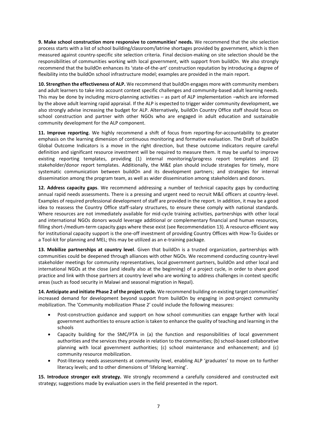**9. Make school construction more responsive to communities' needs.** We recommend that the site selection process starts with a list of school building/classroom/latrine shortages provided by government, which is then measured against country-specific site selection criteria. Final decision-making on site selection should be the responsibilities of communities working with local government, with support from buildOn. We also strongly recommend that the buildOn enhances its 'state-of-the-art' construction reputation by introducing a degree of flexibility into the buildOn school infrastructure model; examples are provided in the main report.

**10. Strengthen the effectiveness of ALP.** We recommend that buildOn engages more with community members and adult learners to take into account context specific challenges and community-based adult learning needs. This may be done by including micro-planning activities – as part of ALP implementation –which are informed by the above adult learning rapid appraisal. If the ALP is expected to trigger wider community development, we also strongly advise increasing the budget for ALP. Alternatively, buildOn Country Office staff should focus on school construction and partner with other NGOs who are engaged in adult education and sustainable community development for the ALP component.

**11. Improve reporting.** We highly recommend a shift of focus from reporting-for-accountability to greater emphasis on the learning dimension of continuous monitoring and formative evaluation. The Draft of buildOn Global Outcome Indicators is a move in the right direction, but these outcome indicators require careful definition and significant resource investment will be required to measure them. It may be useful to improve existing reporting templates, providing (1) internal monitoring/progress report templates and (2) stakeholder/donor report templates. Additionally, the M&E plan should include strategies for timely, more systematic communication between buildOn and its development partners; and strategies for internal dissemination among the program team, as well as wider dissemination among stakeholders and donors.

**12. Address capacity gaps.** We recommend addressing a number of technical capacity gaps by conducting annual rapid needs assessments. There is a pressing and urgent need to recruit M&E officers at country-level. Examples of required professional development of staff are provided in the report. In addition, it may be a good idea to reassess the Country Office staff-salary structures, to ensure these comply with national standards. Where resources are not immediately available for mid-cycle training activities, partnerships with other local and international NGOs donors would leverage additional or complementary financial and human resources, filling short-/medium-term capacity gaps where these exist (see Recommendation 13). A resource-efficient way for institutional capacity support is the one-off investment of providing Country Offices with How-To Guides or a Tool-kit for planning and MEL; this may be utilized as an e-training package.

**13. Mobilize partnerships at country level.** Given that buildOn is a trusted organization, partnerships with communities could be deepened through alliances with other NGOs. We recommend conducting country-level stakeholder meetings for community representatives, local government partners, buildOn and other local and international NGOs at the close (and ideally also at the beginning) of a project cycle, in order to share good practice and link with those partners at country level who are working to address challenges in context specific areas (such as food security in Malawi and seasonal migration in Nepal).

**14. Anticipate and initiate Phase 2 of the project cycle.** We recommend building on existing target communities' increased demand for development beyond support from buildOn by engaging in post-project community mobilization. The 'Community mobilization Phase 2' could include the following measures:

- Post-construction guidance and support on how school communities can engage further with local government authorities to ensure action is taken to enhance the quality of teaching and learning in the schools
- Capacity building for the SMC/PTA in (a) the function and responsibilities of local government authorities and the services they provide in relation to the communities; (b) school-based collaborative planning with local government authorities; (c) school maintenance and enhancement; and (c) community resource mobilization.
- Post-literacy needs assessments at community level, enabling ALP 'graduates' to move on to further literacy levels; and to other dimensions of 'lifelong learning'.

**15. Introduce stronger exit strategy.** We strongly recommend a carefully considered and constructed exit strategy; suggestions made by evaluation users in the field presented in the report.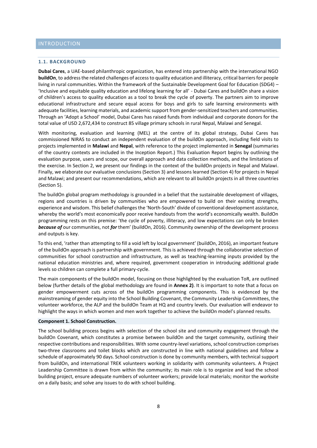#### **1.1. BACKGROUND**

**Dubai Cares**, a UAE-based philanthropic organization, has entered into partnership with the international NGO **buildOn**, to address the related challenges of access to quality education and illiteracy, critical barriers for people living in rural communities. Within the framework of the Sustainable Development Goal for Education (SDG4) – 'Inclusive and equitable quality education and lifelong learning for all' - Dubai Cares and buildOn share a vision of children's access to quality education as a tool to break the cycle of poverty. The partners aim to improve educational infrastructure and secure equal access for boys and girls to safe learning environments with adequate facilities, learning materials, and academic support from gender-sensitized teachers and communities. Through an 'Adopt a School' model, Dubai Cares has raised funds from individual and corporate donors for the total value of USD 2,672,434 to construct 85 village primary schools in rural Nepal, Malawi and Senegal.

With monitoring, evaluation and learning (MEL) at the centre of its global strategy, Dubai Cares has commissioned NIRAS to conduct an independent evaluation of the buildOn approach, including field visits to projects implemented in **Malawi** and **Nepal**, with reference to the project implemented in **Senegal** (summaries of the country contexts are included in the Inception Report.) This Evaluation Report begins by outlining the evaluation purpose, users and scope, our overall approach and data collection methods, and the limitations of the exercise. In Section 2, we present our findings in the context of the buildOn projects in Nepal and Malawi. Finally, we elaborate our evaluative conclusions (Section 3) and lessons learned (Section 4) for projects in Nepal and Malawi; and present our recommendations, which are relevant to all buildOn projects in all three countries (Section 5).

The buildOn global program methodology is grounded in a belief that the sustainable development of villages, regions and countries is driven by communities who are empowered to build on their existing strengths, experience and wisdom. This belief challenges the 'North-South' divide of conventional development assistance, whereby the world's most economically poor receive handouts from the world's economically wealth. BuildOn programming rests on this premise: 'the cycle of poverty, illiteracy, and low expectations can only be broken *because of* our communities, not *for* them' (buildOn, 2016). Community ownership of the development process and outputs is key.

To this end, 'rather than attempting to fill a void left by local government' (buildOn, 2016), an important feature of the buildOn approach is partnership with government. This is achieved through the collaborative selection of communities for school construction and infrastructure, as well as teaching-learning inputs provided by the national education ministries and, where required, government cooperation in introducing additional grade levels so children can complete a full primary-cycle.

The main components of the buildOn model, focusing on those highlighted by the evaluation ToR, are outlined below (further details of the global methodology are found in **Annex 2)**. It is important to note that a focus on gender empowerment cuts across of the buildOn programming components. This is evidenced by the mainstreaming of gender equity into the School Building Covenant, the Community Leadership Committees, the volunteer workforce, the ALP and the buildOn Team at HQ and country levels. Our evaluation will endeavor to highlight the ways in which women and men work together to achieve the buildOn model's planned results.

#### **Component 1. School Construction.**

The school building process begins with selection of the school site and community engagement through the buildOn Covenant, which constitutes a promise between buildOn and the target community, outlining their respective contributions and responsibilities. With some country-level variations, school construction comprises two-three classrooms and toilet blocks which are constructed in line with national guidelines and follow a schedule of approximately 90 days. School construction is done by community members, with technical support from buildOn, and international TREK volunteers working in solidarity with community volunteers. A Project Leadership Committee is drawn from within the community; its main role is to organize and lead the school building project, ensure adequate numbers of volunteer workers; provide local materials; monitor the worksite on a daily basis; and solve any issues to do with school building.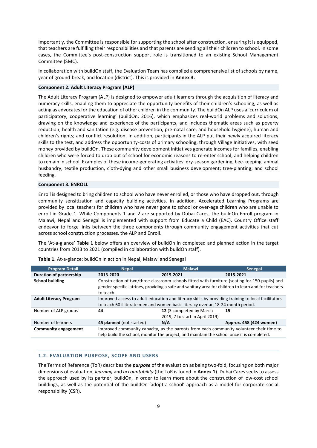Importantly, the Committee is responsible for supporting the school after construction, ensuring it is equipped, that teachers are fulfilling their responsibilities and that parents are sending all their children to school. In some cases, the Committee's post-construction support role is transitioned to an existing School Management Committee (SMC).

In collaboration with buildOn staff, the Evaluation Team has compiled a comprehensive list of schools by name, year of ground-break, and location (district). This is provided in **Annex 3.**

#### **Component 2. Adult Literacy Program (ALP)**

The Adult Literacy Program (ALP) is designed to empower adult learners through the acquisition of literacy and numeracy skills, enabling them to appreciate the opportunity benefits of their children's schooling, as well as acting as advocates for the education of other children in the community. The buildOn ALP uses a 'curriculum of participatory, cooperative learning' (buildOn, 2016), which emphasizes real-world problems and solutions, drawing on the knowledge and experience of the participants, and includes thematic areas such as poverty reduction; health and sanitation (e.g. disease prevention, pre-natal care, and household hygiene); human and children's rights; and conflict resolution. In addition, participants in the ALP put their newly acquired literacy skills to the test, and address the opportunity-costs of primary schooling, through Village Initiatives, with seed money provided by buildOn. These community development initiatives generate incomes for families, enabling children who were forced to drop out of school for economic reasons to re-enter school, and helping children to remain in school. Examples of these income-generating activities: dry-season gardening, bee-keeping, animal husbandry, textile production, cloth-dying and other small business development; tree-planting; and school feeding.

#### **Component 3. ENROLL**

Enroll is designed to bring children to school who have never enrolled, or those who have dropped out, through community sensitization and capacity building activities. In addition, Accelerated Learning Programs are provided by local teachers for children who have never gone to school or over-age children who are unable to enroll in Grade 1. While Components 1 and 2 are supported by Dubai Cares, the buildOn Enroll program in Malawi, Nepal and Senegal is implemented with support from Educate a Child (EAC). Country Office staff endeavor to forge links between the three components through community engagement activities that cut across school construction processes, the ALP and Enroll.

The 'At-a-glance' **Table 1** below offers an overview of buildOn in completed and planned action in the target countries from 2013 to 2021 (compiled in collaboration with buildOn staff).

| <b>Program Detail</b>         | <b>Nepal</b>                                                                                                                                                                          | <b>Malawi</b>                                                                                                                                                                                         | <b>Senegal</b>          |  |  |  |  |
|-------------------------------|---------------------------------------------------------------------------------------------------------------------------------------------------------------------------------------|-------------------------------------------------------------------------------------------------------------------------------------------------------------------------------------------------------|-------------------------|--|--|--|--|
| Duration of partnership       | 2013-2020                                                                                                                                                                             | 2015-2021                                                                                                                                                                                             | 2015-2021               |  |  |  |  |
| <b>School building</b>        | to teach.                                                                                                                                                                             | Construction of two/three-classroom schools fitted with furniture (seating for 150 pupils) and<br>gender specific latrines, providing a safe and sanitary area for children to learn and for teachers |                         |  |  |  |  |
| <b>Adult Literacy Program</b> | Improved access to adult education and literacy skills by providing training to local facilitators<br>to teach 60 illiterate men and women basic literacy over an 18-24 month period. |                                                                                                                                                                                                       |                         |  |  |  |  |
| Number of ALP groups          | 44                                                                                                                                                                                    | 12 (3 completed by March<br>2019, 7 to start in April 2019)                                                                                                                                           | 15                      |  |  |  |  |
| Number of learners            | 45 planned (not started)                                                                                                                                                              | N/A                                                                                                                                                                                                   | Approx. 458 (424 women) |  |  |  |  |
| Community engagement          | Improved community capacity, as the parents from each community volunteer their time to<br>help build the school, monitor the project, and maintain the school once it is completed.  |                                                                                                                                                                                                       |                         |  |  |  |  |

**Table 1.** At-a-glance: buildOn in action in Nepal, Malawi and Senegal

# **1.2. EVALUATION PURPOSE, SCOPE AND USERS**

The Terms of Reference (ToR) describes the *purpose* of the evaluation as being two-fold, focusing on both major dimensions of evaluation, *learning* and *accountability* (the ToR is found in **Annex 1**). Dubai Cares seeks to assess the approach used by its partner, buildOn, in order to learn more about the construction of low-cost school buildings, as well as the potential of the buildOn 'adopt-a-school' approach as a model for corporate social responsibility (CSR).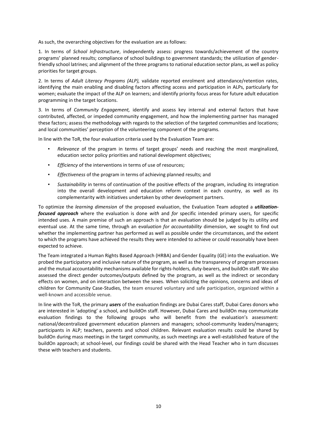As such, the overarching objectives for the evaluation are as follows:

1. In terms of *School Infrastructure*, independently assess: progress towards/achievement of the country programs' planned results; compliance of school buildings to government standards; the utilization of genderfriendly school latrines; and alignment of the three programs to national education sector plans, as well as policy priorities for target groups.

2. In terms of *Adult Literacy Programs (ALP),* validate reported enrolment and attendance/retention rates, identifying the main enabling and disabling factors affecting access and participation in ALPs, particularly for women; evaluate the impact of the ALP on learners; and identify priority focus areas for future adult education programming in the target locations.

3. In terms of *Community Engagement,* identify and assess key internal and external factors that have contributed, affected, or impeded community engagement, and how the implementing partner has managed these factors; assess the methodology with regards to the selection of the targeted communities and locations; and local communities' perception of the volunteering component of the programs.

In line with the ToR, the four evaluation criteria used by the Evaluation Team are:

- Relevance of the program in terms of target groups' needs and reaching the most marginalized, education sector policy priorities and national development objectives;
- *Efficiency* of the interventions in terms of use of resources;
- *Effectiveness* of the program in terms of achieving planned results; and
- Sustainability in terms of continuation of the positive effects of the program, including its integration into the overall development and education reform context in each country, as well as its complementarity with initiatives undertaken by other development partners.

To optimize the *learning dimension* of the proposed evaluation, the Evaluation Team adopted a *utilizationfocused approach* where the evaluation is done *with* and *for* specific intended primary users, for specific intended uses. A main premise of such an approach is that an evaluation should be judged by its utility and eventual use. At the same time, through an e*valuation for accountability* dimension, we sought to find out whether the implementing partner has performed as well as possible under the circumstances, and the extent to which the programs have achieved the results they were intended to achieve or could reasonably have been expected to achieve.

The Team integrated a Human Rights Based Approach (HRBA) and Gender Equality (GE) into the evaluation. We probed the participatory and inclusive nature of the program, as well as the transparency of program processes and the mutual accountability mechanisms available for rights-holders, duty-bearers, and buildOn staff. We also assessed the direct gender outcomes/outputs defined by the program, as well as the indirect or secondary effects on women, and on interaction between the sexes. When soliciting the opinions, concerns and ideas of children for Community Case-Studies, the team ensured voluntary and safe participation, organized within a well-known and accessible venue.

In line with the ToR, the primary *users* of the evaluation findings are Dubai Cares staff, Dubai Cares donors who are interested in 'adopting' a school, and buildOn staff. However, Dubai Cares and buildOn may communicate evaluation findings to the following groups who will benefit from the evaluation's assessment: national/decentralized government education planners and managers; school-community leaders/managers; participants in ALP; teachers, parents and school children. Relevant evaluation results could be shared by buildOn during mass meetings in the target community, as such meetings are a well-established feature of the buildOn approach; at school-level, our findings could be shared with the Head Teacher who in turn discusses these with teachers and students.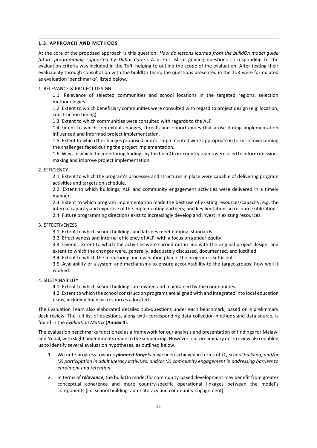#### **1.3. APPROACH AND METHODS**

At the core of the proposed approach is this question: *How do lessons learned from the buildOn model guide future programming supported by Dubai Cares?* A useful list of guiding questions corresponding to the evaluation criteria was included in the ToR, helping to outline the scope of the evaluation. After testing their evaluability through consultation with the buildOn team, the questions presented in the ToR were formulated as evaluation 'benchmarks', listed below.

#### 1. RELEVANCE & PROJECT DESIGN

1.1. Relevance of selected communities and school locations in the targeted regions; selection methodologies.

1.2. Extent to which beneficiary communities were consulted with regard to project design (e.g. location, construction timing).

1.3. Extent to which communities were consulted with regards to the ALP.

1.4 Extent to which contextual changes, threats and opportunities that arose during implementation influenced and informed project implementation.

1.5. Extent to which the changes proposed and/or implemented were appropriate in terms of overcoming the challenges faced during the project implementation.

1.6. Ways in which the monitoring findings by the buildOn in-country teams were used to inform decisionmaking and improve project implementation.

#### 2. EFFICIENCY

2.1. Extent to which the program's processes and structures in place were capable of delivering program activities and targets on schedule.

2.2. Extent to which buildings, ALP and community engagement activities were delivered in a timely manner.

2.3. Extent to which program implementation made the best use of existing resources/capacity; e.g. the internal capacity and expertise of the implementing partners; and key limitations in resource utilization. 2.4. Future programming directions exist to increasingly develop and invest in existing resources.

#### 3. EFFECTIVENESS

3.1. Extent to which school buildings and latrines meet national standards.

3.2. Effectiveness and internal efficiency of ALP, with a focus on gender equity.

3.3. Overall, extent to which the activities were carried out in line with the original project design; and extent to which the changes were, generally, adequately discussed, documented, and justified.

3.4. Extent to which the monitoring and evaluation plan of the program is sufficient.

3.5. Availability of a system and mechanisms to ensure accountability to the target groups; how well it worked.

#### 4. SUSTAINABILITY

4.1. Extent to which school buildings are owned and maintained by the communities.

4.2. Extent to which the school construction programs are aligned with and integrated into local education plans, including financial resources allocated.

The Evaluation Team also elaborated detailed sub-questions under each benchmark, based on a preliminary desk review. The full list of questions, along with corresponding data collection methods and data source, is found in the *Evaluation Matrix* (**Annex 4**).

The evaluation benchmarks functioned as a framework for our analysis and presentation of findings for Malawi and Nepal, with slight amendments made to the sequencing. However, our preliminary desk review also enabled us to identify several evaluation hypotheses, as outlined below.

- 1. We note progress towards *planned targets* have been achieved in terms of *(1) school building; and/or (2) participation in adult literacy activities; and/or (3) community engagement in addressing barriers to enrolment and retention.*
- 2. In terms of *relevance*, the buildOn model for community-based development may benefit from greater conceptual coherence and more country-specific operational linkages between the model's components (i.e. school building, adult literacy and community engagement).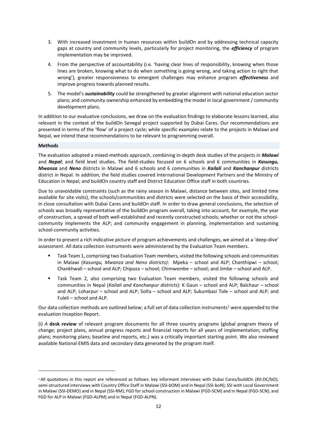- 3. With increased investment in human resources within buildOn and by addressing technical capacity gaps at country and community levels, particularly for project monitoring, the *efficiency* of program implementation may be improved.
- 4. From the perspective of accountability (i.e. 'having clear lines of responsibility, knowing when those lines are broken, knowing what to do when something is going wrong, and taking action to right that wrong'), greater responsiveness to emergent challenges may enhance program *effectiveness* and improve progress towards planned results.
- 5. The model's *sustainability* could be strengthened by greater alignment with national education sector plans; and community ownership enhanced by embedding the model in local government / community development plans.

In addition to our evaluative conclusions, we draw on the evaluation findings to elaborate lessons learned, also relevant in the context of the buildOn Senegal project supported by Dubai Cares. Our recommendations are presented in terms of the 'flow' of a project cycle; while specific examples relate to the projects in Malawi and Nepal, we intend these recommendations to be relevant to programming overall.

#### **Methods**

<u>.</u>

The evaluation adopted a mixed-methods approach, combining in-depth desk studies of the projects in *Malawi* and *Nepal*; and field level studies. The field-studies focused on 6 schools and 6 communities in *Kasungu, Mwanza* and *Neno* districts in Malawi and 6 schools and 6 communities in *Kailali* and *Kanchanpur* districts district in Nepal. In addition, the field studies covered International Development Partners and the Ministry of Education in Nepal; and buildOn country staff and District Education Office staff in both countries.

Due to unavoidable constraints (such as the rainy season in Malawi, distance between sites, and limited time available for site visits), the schools/communities and districts were selected on the basis of their accessibility, in close consultation with Dubai Cares and buildOn staff. In order to draw general conclusions, the selection of schools was broadly representative of the buildOn program overall, taking into account, for example, the year of construction, a spread of both well-established and recently constructed schools; whether or not the schoolcommunity implements the ALP; and community engagement in planning, implementation and sustaining school-community activities.

In order to present a rich indicative picture of program achievements and challenges, we aimed at a 'deep-dive' assessment. All data collection instruments were administered by the Evaluation Team members.

- Task Team 1, comprising two Evaluation Team members, visited the following schools and communities in Malawi (*Kasungu, Mwanza and Neno districts)*: Mpeka – school and ALP; Chanthipwi – school; Chankhwali – school and ALP; Chipoza – school; Chimwembe – school; and Jimbe – school and ALP.
- Task Team 2, also comprising two Evaluation Team members, visited the following schools and communities in Nepal (*Kailali and Kanchanpur districts*): K Gaun – school and ALP; Balchaur – school and ALP; Loharpur – school and ALP; Solta – school and ALP; Sukumbasi Tole – school and ALP; and Fuleli – school and ALP.

Our data collection methods are outlined below; a full set of data collection instruments<sup>1</sup> were appended to the evaluation Inception Report.

(i) *A* **desk review** of relevant program documents for all three country programs (global program theory of change; project plans, annual progress reports and financial reports for all years of implementation; staffing plans; monitoring plans; baseline and reports, etc.) was a critically important starting point. We also reviewed available National EMIS data and secondary data generated by the program itself.

<sup>1</sup> All quotations in this report are referenced as follows: key informant interviews with Dubai Cares/buildOn (KII:DC/bO); semi-structured interviews with Country Office Staff in Malawi (SSI-bOM) and in Nepal (SSI-boN); SSI with Local Government in Malawi (SSI-DEMO) and in Nepal (SSI-RM); FGD for school construction in Malawi (FGD-SCM) and in Nepal (FGD-SCN); and FGD for ALP in Malawi (FGD-ALPM) and in Nepal (FGD-ALPN).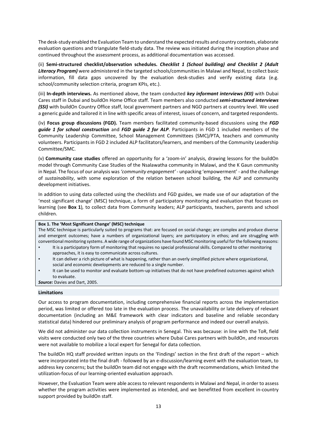The desk-study enabled the Evaluation Team to understand the expected results and country contexts, elaborate evaluation questions and triangulate field-study data. The review was initiated during the inception phase and continued throughout the assessment process, as additional documentation was accessed.

(ii) **Semi-structured checklist/observation schedules***. Checklist 1 (School building) and Checklist 2 (Adult Literacy Program)* were administered in the targeted schools/communities in Malawi and Nepal, to collect basic information, fill data gaps uncovered by the evaluation desk-studies and verify existing data (e.g. school/community selection criteria, program KPIs, etc.).

(iii) **In-depth interviews.** As mentioned above, the team conducted *key informant interviews (KII)* with Dubai Cares staff in Dubai and buildOn Home Office staff. Team members also conducted *semi-structured interviews (SSI)* with buildOn Country Office staff, local government partners and NGO partners at country level. We used a generic guide and tailored it in line with specific areas of interest, issues of concern, and targeted respondents.

(iv) **Focus group discussions (FGD).** Team members facilitated community-based discussions using the *FGD guide 1 for school construction* and *FGD guide 2 for ALP*. Participants in FGD 1 included members of the Community Leadership Committee, School Management Committees (SMC)/PTA, teachers and community volunteers. Participants in FGD 2 included ALP facilitators/learners, and members of the Community Leadership Committee/SMC.

(v) **Community case studies** offered an opportunity for a 'zoom-in' analysis, drawing lessons for the buildOn model through Community Case Studies of the Nsalawatha community in Malawi, and the K Gaun community in Nepal. The focus of our analysis was *'community engagement' -* unpacking 'empowerment' *-* and the challenge of *sustainability*, with some exploration of the relation between school building, the ALP and community development initiatives.

In addition to using data collected using the checklists and FGD guides, we made use of our adaptation of the 'most significant change' (MSC) technique, a form of participatory monitoring and evaluation that focuses on learning (see **Box 1**)*,* to collect data from Community leaders; ALP participants, teachers, parents and school children.

## **Box 1. The 'Most Significant Change' (MSC) technique**

The MSC technique is particularly suited to programs that: are focused on social change; are complex and produce diverse and emergent outcomes; have a numbers of organizational layers; are participatory in ethos; and are struggling with conventional monitoring systems. A wide range of organizations have found MSC monitoring useful for the following reasons:

- It is a participatory form of monitoring that requires no special professional skills. Compared to other monitoring approaches, it is easy to communicate across cultures.
- It can deliver a rich picture of what is happening, rather than an overly simplified picture where organizational,
- social and economic developments are reduced to a single number.
- It can be used to monitor and evaluate bottom-up initiatives that do not have predefined outcomes against which to evaluate.

*Source:* Davies and Dart, 2005.

#### **Limitations**

Our access to program documentation, including comprehensive financial reports across the implementation period, was limited or offered too late in the evaluation process. The unavailability or late delivery of relevant documentation (including an M&E framework with clear indicators and baseline and reliable secondary statistical data) hindered our preliminary analysis of program performance and indeed our overall analysis.

We did not administer our data collection instruments in Senegal. This was because: in line with the ToR, field visits were conducted only two of the three countries where Dubai Cares partners with buildOn, and resources were not available to mobilize a local expert for Senegal for data collection.

The buildOn HQ staff provided written inputs on the 'Findings' section in the first draft of the report – which were incorporated into the final draft - followed by an e-discussion/learning event with the evaluation team, to address key concerns; but the buildOn team did not engage with the draft recommendations, which limited the utilization-focus of our learning-oriented evaluation approach.

However, the Evaluation Team were able access to relevant respondents in Malawi and Nepal, in order to assess whether the program activities were implemented as intended, and we benefitted from excellent in-country support provided by buildOn staff.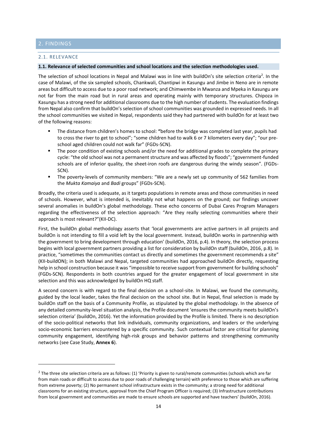# 2. FINDINGS

**.** 

#### 2.1. RELEVANCE

#### **1.1. Relevance of selected communities and school locations and the selection methodologies used.**

The selection of school locations in Nepal and Malawi was in line with buildOn's site selection criteria<sup>2</sup>. In the case of Malawi, of the six sampled schools, Chankwali, Chantipwi in Kasungu and Jimbe in Neno are in remote areas but difficult to access due to a poor road network; and Chimwembe in Mwanza and Mpeka in Kasungu are not far from the main road but in rural areas and operating mainly with temporary structures. Chipoza in Kasungu has a strong need for additional classrooms due to the high number of students. The evaluation findings from Nepal also confirm that buildOn's selection of school communities was grounded in expressed needs*.* In all the school communities we visited in Nepal, respondents said they had partnered with buildOn for at least two of the following reasons:

- The distance from children's homes to school: **"**before the bridge was completed last year, pupils had to cross the river to get to school"; "some children had to walk 6 or 7 kilometers every day"; "our preschool aged children could not walk far" (FGDs-SCN).
- The poor condition of existing schools and/or the need for additional grades to complete the primary cycle: "the old school was not a permanent structure and was affected by floods"; "government-funded schools are of inferior quality, the sheet-iron roofs are dangerous during the windy season". (FGDs-SCN).
- The poverty-levels of community members: "We are a newly set up community of 562 families from the *Mukta Kamaiya* and *Badi* groups" (FGDs-SCN).

Broadly, the criteria used is adequate, as it targets populations in remote areas and those communities in need of schools. However, what is intended is, inevitably not what happens on the ground; our findings uncover several anomalies in buildOn's global methodology. These echo concerns of Dubai Cares Program Managers regarding the effectiveness of the selection approach: "Are they really selecting communities where their approach is most relevant?"(KII-DC).

First, the buildOn global methodology asserts that 'local governments are active partners in all projects and buildOn is not intending to fill a void left by the local government. Instead, buildOn works in partnership with the government to bring development through education' (buildOn, 2016, p.4). In theory, the selection process begins with local government partners providing a list for consideration by buildOn staff (buildOn, 2016, p.8). In practice, "sometimes the communities contact us directly and sometimes the government recommends a site" (KII-buildON); in both Malawi and Nepal, targeted communities had approached buildOn directly, requesting help in school construction because it was "impossible to receive support from government for building schools" (FGDs-SCN). Respondents in both countries argued for the greater engagement of local government in site selection and this was acknowledged by buildOn HQ staff.

A second concern is with regard to the final decision on a school-site. In Malawi, we found the community, guided by the local leader, takes the final decision on the school site. But in Nepal, final selection is made by buildOn staff on the basis of a Community Profile, as stipulated by the global methodology. In the absence of any detailed community-level situation analysis, the Profile document 'ensures the community meets buildOn's selection criteria' (buildOn, 2016). Yet the information provided by the Profile is limited. There is no description of the socio-political networks that link individuals, community organizations, and leaders or the underlying socio-economic barriers encountered by a specific community. Such contextual factor are critical for planning community engagement, identifying high-risk groups and behavior patterns and strengthening community networks (see Case Study, **Annex 6**).

 $2$  The three site selection criteria are as follows: (1) 'Priority is given to rural/remote communities (schools which are far from main roads or difficult to access due to poor roads of challenging terrain) with preference to those which are suffering from extreme poverty; (2) No permanent school infrastructure exists in the community; a strong need for additional classrooms for an existing structure, approval from the Chief Program Officer is required; (3) Infrastructure contributions from local government and communities are made to ensure schools are supported and have teachers' (buildOn, 2016).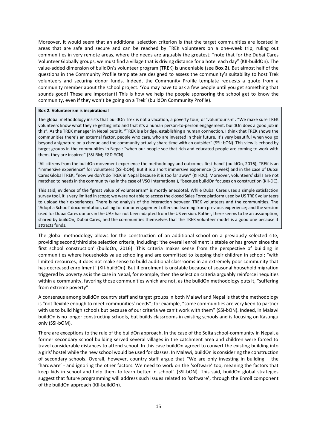Moreover, it would seem that an additional selection criterion is that the target communities are located in areas that are safe and secure and can be reached by TREK volunteers on a one-week trip, ruling out communities in very remote areas, where the needs are arguably the greatest; "note that for the Dubai Cares Volunteer Globally groups, we must find a village that is driving distance for a hotel each day" (KII-buildOn). The value-added dimension of buildOn's volunteer program (TREK) is undeniable (see **Box 2**). But almost half of the questions in the Community Profile template are designed to assess the community's suitability to host Trek volunteers and securing donor funds. Indeed, the Community Profile template requests a quote from a community member about the school project. 'You may have to ask a few people until you get something that sounds good! These are important! This is how we help the people sponsoring the school get to know the community, even if they won't be going on a Trek' (buildOn Community Profile).

#### **Box 2. Volunteerism is inspirational**

The global methodology insists that buildOn Trek is not a vacation, a poverty tour, or 'voluntourism'. "We make sure TREK volunteers know what they're getting into and that it's a human person-to-person engagement. buildOn does a good job in this". As the TREK manager in Nepal puts it, "TREK is a bridge, establishing a human connection. I think that TREK shows the communities there's an external factor, people who care, who are invested in their future. It's very beautiful when you go beyond a signature on a cheque and the community actually share time with an outsider" (SSI: bON). This view is echoed by target groups in the communities in Nepal: "when our people see that rich and educated people are coming to work with them, they are inspired" (SSI-RM; FGD-SCN).

'All citizens from the buildOn movement experience the methodology and outcomes first-hand' (buildOn, 2016); TREK is an "immersive experience" for volunteers (SSI-bON). But it is a short immersive experience (1 week) and in the case of Dubai Cares Global TREK, "now we don't do TREK in Nepal because it is too far away" (KII-DC). Moreover, volunteers' skills are not matched to needs in the community (as in the case of VSO International), "because buildOn focuses on construction (KII-DC).

This said, evidence of the "great value of volunteerism" is mostly anecdotal. While Dubai Cares uses a simple satisfaction survey tool, it is very limited in scope; we were not able to access the closed Sales Force platform used by US TREK volunteers to upload their experiences. There is no analysis of the interaction between TREK volunteers and the communities. The 'Adopt a School' documentation, calling for donor engagement offers no learning from previous experience; and the version used for Dubai Cares donors in the UAE has not been adapted from the US version. Rather, there seems to be an assumption, shared by buildOn, Dubai Cares, and the communities themselves that the TREK volunteer model is a good one because it attracts funds.

The global methodology allows for the construction of an additional school on a previously selected site, providing second/third site selection criteria, including: 'the overall enrollment is stable or has grown since the first school construction' (buildOn, 2016). This criteria makes sense from the perspective of building in communities where households value schooling and are committed to keeping their children in school; "with limited resources, it does not make sense to build additional classrooms in an extremely poor community that has decreased enrollment" (KII-buildOn). But if enrolment is unstable because of seasonal household migration triggered by poverty as is the case in Nepal, for example, then the selection criteria arguably reinforce inequities within a community, favoring those communities which are not, as the buildOn methodology puts it, "suffering from extreme poverty".

A consensus among buildOn country staff and target groups in both Malawi and Nepal is that the methodology is "not flexible enough to meet communities' needs"; for example, "some communities are very keen to partner with us to build high schools but because of our criteria we can't work with them" (SSI-bON). Indeed, in Malawi buildOn is no longer constructing schools, but builds classrooms in existing schools and is focusing on Kasungu only (SSI-bOM).

There are exceptions to the rule of the buildOn approach. In the case of the Solta school-community in Nepal, a former secondary school building served several villages in the catchment area and children were forced to travel considerable distances to attend school. In this case buildOn agreed to convert the existing building into a girls' hostel while the new school would be used for classes. In Malawi, buildOn is considering the construction of secondary schools. Overall, however, country staff argue that "We are only investing in building – the 'hardware' - and ignoring the other factors. We need to work on the 'software' too, meaning the factors that keep kids in school and help them to learn better in school" (SSI-bON). This said, buildOn global strategies suggest that future programming will address such issues related to 'software', through the Enroll component of the buildOn approach (KII-buildOn).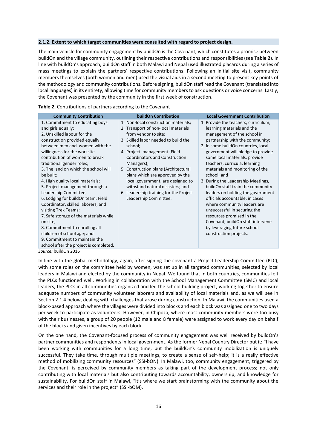#### **2.1.2. Extent to which target communities were consulted with regard to project design.**

The main vehicle for community engagement by buildOn is the Covenant, which constitutes a promise between buildOn and the village community, outlining their respective contributions and responsibilities (see **Table 2**). In line with buildOn's approach, buildOn staff in both Malawi and Nepal used illustrated placards during a series of mass meetings to explain the partners' respective contributions. Following an initial site visit, community members themselves (both women and men) used the visual aids in a second meeting to present key points of the methodology and community contributions. Before signing, buildOn staff read the Covenant (translated into local languages) in its entirety, allowing time for community members to ask questions or voice concerns. Lastly, the Covenant was presented by the community in the first week of construction.

**Table 2.** Contributions of partners according to the Covenant

| <b>Community Contribution</b>                                                                                                                                                                                                                                                                                                                                                                                                                                                                                                                                                                                                                                                                                     | <b>buildOn Contribution</b>                                                                                                                                                                                                                                                                                                                                                                                                                                         | <b>Local Government Contribution</b>                                                                                                                                                                                                                                                                                                                                                                                                                                                                                                                                                                                                                                              |
|-------------------------------------------------------------------------------------------------------------------------------------------------------------------------------------------------------------------------------------------------------------------------------------------------------------------------------------------------------------------------------------------------------------------------------------------------------------------------------------------------------------------------------------------------------------------------------------------------------------------------------------------------------------------------------------------------------------------|---------------------------------------------------------------------------------------------------------------------------------------------------------------------------------------------------------------------------------------------------------------------------------------------------------------------------------------------------------------------------------------------------------------------------------------------------------------------|-----------------------------------------------------------------------------------------------------------------------------------------------------------------------------------------------------------------------------------------------------------------------------------------------------------------------------------------------------------------------------------------------------------------------------------------------------------------------------------------------------------------------------------------------------------------------------------------------------------------------------------------------------------------------------------|
| 1. Commitment to educating boys<br>and girls equally;<br>2. Unskilled labour for the<br>construction provided equally<br>between men and women with the<br>willingness for the worksite<br>contribution of women to break<br>traditional gender roles;<br>3. The land on which the school will<br>be built;<br>4. High quality local materials;<br>5. Project management through a<br>Leadership Committee;<br>6. Lodging for buildOn team: Field<br>Coordinator, skilled laborers, and<br>visiting Trek Teams;<br>7. Safe storage of the materials while<br>on site;<br>8. Commitment to enrolling all<br>children of school age; and<br>9. Commitment to maintain the<br>school after the project is completed. | 1. Non-local construction materials;<br>2. Transport of non-local materials<br>from vendor to site;<br>3. Skilled labor needed to build the<br>school;<br>4. Project management (Field<br><b>Coordinators and Construction</b><br>Managers);<br>5. Construction plans (Architectural<br>plans which are approved by the<br>local government, are designed to<br>withstand natural disasters; and<br>6. Leadership training for the Project<br>Leadership Committee. | 1. Provide the teachers, curriculum,<br>learning materials and the<br>management of the school in<br>partnership with the community;<br>2. In some buildOn countries, local<br>government will pledge to provide<br>some local materials, provide<br>teachers, curricula, learning<br>materials and monitoring of the<br>school; and<br>3. During the Leadership Meetings,<br>buildOn staff train the community<br>leaders on holding the government<br>officials accountable; in cases<br>where community leaders are<br>unsuccessful in securing the<br>resources promised in the<br>Covenant, buildOn staff intervene<br>by leveraging future school<br>construction projects. |
| Cource: huildOn 2016                                                                                                                                                                                                                                                                                                                                                                                                                                                                                                                                                                                                                                                                                              |                                                                                                                                                                                                                                                                                                                                                                                                                                                                     |                                                                                                                                                                                                                                                                                                                                                                                                                                                                                                                                                                                                                                                                                   |

*Source:* buildOn 2016

In line with the global methodology, again, after signing the covenant a Project Leadership Committee (PLC), with some roles on the committee held by women, was set up in all targeted communities, selected by local leaders in Malawi and elected by the community in Nepal. We found that in both countries, communities felt the PLCs functioned well. Working in collaboration with the School Management Committee (SMC) and local leaders, the PLCs in all communities organized and led the school building project, working together to ensure adequate numbers of community volunteer laborers and availability of local materials and, as we will see in Section 2.1.4 below, dealing with challenges that arose during construction. In Malawi, the communities used a block-based approach where the villages were divided into blocks and each block was assigned one to two days per week to participate as volunteers. However, in Chipoza, where most community members were too busy with their businesses, a group of 20 people (12 male and 8 female) were assigned to work every day on behalf of the blocks and given incentives by each block.

On the one hand, the Covenant-focused process of community engagement was well received by buildOn's partner communities and respondents in local government. As the former Nepal Country Director put it: "I have been working with communities for a long time, but the buildOn's community mobilization is uniquely successful. They take time, through multiple meetings, to create a sense of self-help; it is a really effective method of mobilizing community resources" (SSI-bON). In Malawi, too, community engagement, triggered by the Covenant, is perceived by community members as taking part of the development process; not only contributing with local materials but also contributing towards accountability, ownership, and knowledge for sustainability. For buildOn staff in Malawi, "it's where we start brainstorming with the community about the services and their role in the project" (SSI-bOM).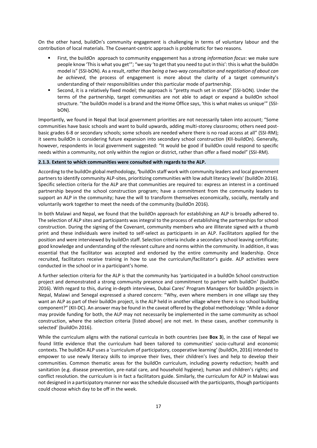On the other hand, buildOn's community engagement is challenging in terms of voluntary labour and the contribution of local materials. The Covenant-centric approach is problematic for two reasons.

- First, the buildOn approach to community engagement has a strong *information focus*: we make sure people know 'This is what you get'"; "we say 'to get that you need to put in this': this is what the buildOn model is" (SSI-bON). As a result, *rather than being a two-way consultation and negotiation of about can be achieved*, the process of engagement is more about the clarity of a target community's understanding of their responsibilities under this particular mode of partnership.
- Second, it is a relatively fixed model; the approach is "pretty much set in stone" (SSI-bON). Under the terms of the partnership, target communities are not able to adapt or expand a buildOn school structure. "the buildOn model is a brand and the Home Office says, 'this is what makes us unique'" (SSIbON).

Importantly, we found in Nepal that local government priorities are not necessarily taken into account; "Some communities have basic schools and want to build upwards, adding multi-storey classrooms; others need postbasic grades 6-8 or secondary schools; some schools are needed where there is no road access at all" (SSI-RM); it seems buildOn is considering future expansion into secondary school construction (KII-buildOn). Generally, however, respondents in local government suggested: "It would be good if buildOn could respond to specific needs within a community, not only within the region or district, rather than offer a fixed model" (SSI-RM).

#### **2.1.3. Extent to which communities were consulted with regards to the ALP.**

According to the buildOn global methodology, **'**buildOn staff work with community leaders and local government partners to identify community ALP-sites, prioritizing communities with low adult literacy levels' (buildOn 2016). Specific selection criteria for the ALP are that communities are required to: express an interest in a continued partnership beyond the school construction program; have a commitment from the community leaders to support an ALP in the community; have the will to transform themselves economically, socially, mentally and voluntarily work together to meet the needs of the community (buildOn 2016).

In both Malawi and Nepal, we found that the buildOn approach for establishing an ALP is broadly adhered to. The selection of ALP sites and participants was integral to the process of establishing the partnerships for school construction. During the signing of the Covenant, community members who are illiterate signed with a thumb print and these individuals were invited to self-select as participants in an ALP. Facilitators applied for the position and were interviewed by buildOn staff. Selection criteria include a secondary school leaving certificate; good knowledge and understanding of the relevant culture and norms within the community. In addition, it was essential that the facilitator was accepted and endorsed by the entire community and leadership. Once recruited, facilitators receive training in how to use the curriculum/facilitator's guide. ALP activities were conducted in the school or in a participant's home.

A further selection criteria for the ALP is that the community has 'participated in a buildOn School construction project and demonstrated a strong community presence and commitment to partner with buildOn' (buildOn 2016). With regard to this, during in-depth interviews, Dubai Cares' Program Managers for buildOn projects in Nepal, Malawi and Senegal expressed a shared concern: "Why, even where members in one village say they want an ALP as part of their buildOn project, is the ALP held in another village where there is no school building component?" (KII-DC). An answer may be found in the caveat offered by the global methodology: 'While a donor may provide funding for both, the ALP may not necessarily be implemented in the same community as school construction, where the selection criteria [listed above] are not met. In these cases, another community is selected' (buildOn 2016).

While the curriculum aligns with the national curricula in both countries (see **Box 3**), in the case of Nepal we found little evidence that the curriculum had been tailored to communities' socio-cultural and economic contexts. The buildOn ALP uses a 'curriculum of participatory, cooperative learning' (buildOn, 2016) intended to empower to use newly literacy skills to improve their lives, their children's lives and help to develop their communities. Common thematic areas for the buildOn curriculum, including poverty reduction; health and sanitation (e.g. disease prevention, pre-natal care, and household hygiene); human and children's rights; and conflict resolution. the curriculum is in fact a facilitators guide. Similarly, the curriculum for ALP in Malawi was not designed in a participatory manner nor was the schedule discussed with the participants, though participants could choose which day to be off in the week.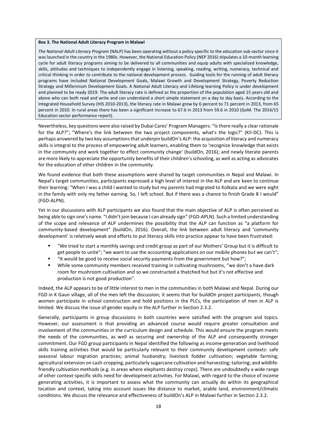#### **Box 3. The National Adult Literacy Program in Malawi**

*The National Adult Literacy Program* (NALP) has been operating without a policy specific to the education sub-sector since it was launched in the country in the 1980s. However, the National Education Policy (NEP 2016) stipulates a 10-month learning cycle for adult literacy programs aiming to be delivered to all communities and equip adults with specialized knowledge, skills, attitudes and techniques to independently engage in listening, speaking, reading, writing, numeracy, technical and critical thinking in order to contribute to the national development process. Guiding tools for the running of adult literacy programs have included National Development Goals, Malawi Growth and Development Strategy, Poverty Reduction Strategy and Millennium Development Goals. A National Adult Literacy and Lifelong learning Policy is under development and planned to be ready 2019. The adult literacy rate is defined as the proportion of the population aged 15 years old and above who can both read and write and can understand a short simple statement on a day to day basis. According to the Integrated Household Survey (HIS 2010-2013), the literacy rate in Malawi grew by 6 percent to 71 percent in 2013, from 65 percent in 2010. In rural areas there has been a significant increase to 67.6 in 2013 from 59.6 in 2010 (GoM. The 2014/15 Education sector performance report).

Nevertheless, key questions were also raised by Dubai Cares' Program Managers: "Is there really a clear rationale for the ALP?"; "Where's the link between the two project components, what's the logic?" (KII-DC). This is perhaps answered by two key assumptions that underpin buildOn's ALP: the acquisition of literacy and numeracy skills is integral to the process of empowering adult learners, enabling them to 'recognize knowledge that exists in the community and work together to effect community change' (buildOn, 2016); and newly literate parents are more likely to appreciate the opportunity benefits of their children's schooling, as well as acting as advocates for the education of other children in the community.

We found evidence that both these assumptions were shared by target communities in Nepal and Malawi. In Nepal's target communities, participants expressed a high level of interest in the ALP and are keen to continue their learning: "When I was a child I wanted to study but my parents had migrated to Kolkata and we were eight in the family with only my father earning. So, I left school. But if there was a chance to finish Grade 8 I would" (FGD-ALPN).

Yet in our discussions with ALP participants we also found that the main objective of ALP is often perceived as being able to sign one's name. "I didn't join because I can already sign" (FGD-APLN). Such a limited understanding of the scope and relevance of ALP undermines the possibility that the ALP can function as "a platform for community-based development" (buildOn, 2016). Overall, the link between adult literacy and 'community development' is relatively weak and efforts to put literacy skills into practice appear to have been frustrated:

- "We tried to start a monthly savings and credit group as part of our Mothers' Group but it is difficult to get people to unite"; "we want to use the accounting applications on our mobile phones but we can't";
- "It would be good to receive social security payments from the government but how?";
- While some community members received training in cultivating mushrooms, "we don't a have dark room for mushroom cultivation and so we constructed a thatched hut but it's not effective and production is not good production".

Indeed, the ALP appears to be of little interest to men in the communities in both Malawi and Nepal. During our FGD in K Gaun village, all of the men left the discussion; it seems that for buildOn project participants, though women participate in school construction and hold positions in the PLCs, the participation of men in ALP is limited. We discuss the issue of gender equity in the ALP further in Section 2.3.2.

Generally, participants in group discussions in both countries were satisfied with the program and topics. However, our assessment is that providing an advanced course would require greater consultation and involvement of the communities in the curriculum design and schedule. This would ensure the program meets the needs of the communities, as well as securing and ownership of the ALP and consequently stronger commitment. Our FGD group participants in Nepal identified the following as income-generation and livelihood skills training activities that would be particularly relevant to their community development contexts: safe seasonal labour migration practices; animal husbandry; livestock fodder cultivation; vegetable farming; agricultural extension on cash-cropping, particularly sugarcane cultivation and harvesting; tailoring; and wildlifefriendly cultivation methods (e.g. in areas where elephants destroy crops). There are undoubtedly a wide range of other context-specific skills need for development activities. For Malawi, with regard to the choice of income generating activities, it is important to assess what the community can actually do within its geographical location and context, taking into account issues like distance to market, arable land, environment/climatic conditions. We discuss the relevance and effectiveness of buildOn's ALP in Malawi further in Section 2.3.2.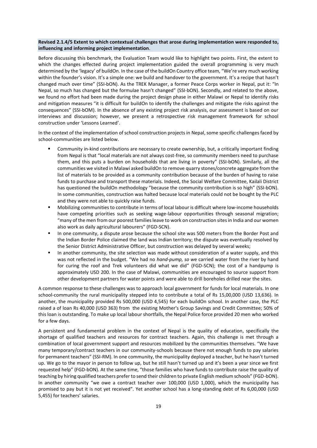# **Revised 2.1.4/5 Extent to which contextual challenges that arose during implementation were responded to, influencing and informing project implementation**.

Before discussing this benchmark, the Evaluation Team would like to highlight two points. First, the extent to which the changes effected during project implementation guided the overall programming is very much determined by the 'legacy' of buildOn. In the case of the buildOn Country office team, "We're very much working within the founder's vision. It's a simple one: we build and handover to the government. It's a recipe that hasn't changed much over time" (SSI-bON). As the TREK Manager, a former Peace Corps worker in Nepal, put it: "In Nepal, so much has changed but the formulae hasn't changed" (SSI-bON). Secondly, and related to the above, we found no effort had been made during the project design phase in either Malawi or Nepal to identify risks and mitigation measures "it is difficult for buildOn to identify the challenges and mitigate the risks against the consequences" (SSI-bOM). In the absence of any existing project risk analysis, our assessment is based on our interviews and discussion; however, we present a retrospective risk management framework for school construction under 'Lessons Learned'.

In the context of the implementation of school construction projects in Nepal, some specific challenges faced by school-communities are listed below.

- Community in-kind contributions are necessary to create ownership, but, a critically important finding from Nepal is that "local materials are not always cost-free, so community members need to purchase them, and this puts a burden on households that are living in poverty" (SSI-bON). Similarly, all the communities we visited in Malawi asked buildOn to remove quarry stones/concrete aggregate from the list of materials to be provided as a community contribution because of the burden of having to raise funds to purchase and transport these materials. Indeed, the Social Welfare Committee, Kailali District has questioned the buildOn methodology "because the community contribution is so high" (SSI-bON). In some communities, construction was halted because local materials could not be bought by the PLC and they were not able to quickly raise funds.
- Mobilizing communities to contribute in terms of local labour is difficult where low-income households have competing priorities such as seeking wage-labour opportunities through seasonal migration; "many of the men from our poorest families leave to work on construction sites in India and our women also work as daily agricultural labourers" (FGD-SCN).
- In one community, a dispute arose because the school site was 500 meters from the Border Post and the Indian Border Police claimed the land was Indian territory; the dispute was eventually resolved by the Senior District Administrative Officer, but construction was delayed by several weeks;
- In another community, the site selection was made without consideration of a water supply, and this was not reflected in the budget. "We had no *hand-pump, so w*e carried water from the river by hand for curing the roof and Trek volunteers did what we did" (FGD-SCN); the cost of a handpump is approximately USD 200. In the case of Malawi, communities are encouraged to source support from other development partners for water points and were able to drill boreholes drilled near the sites.

A common response to these challenges was to approach local government for funds for local materials. In one school-community the rural municipality stepped into to contribute a total of Rs 15,00,000 (USD 13,636). In another, the municipality provided Rs 500,000 (USD 4,545) for each buildOn school. In another case, the PLC raised a of loan Rs 40,000 (USD 363) from the existing Mother's Group Savings and Credit Committee; 50% of this loan is outstanding. To make up local labour shortfalls, the Nepal Police force provided 20 men who worked for a few days.

A persistent and fundamental problem in the context of Nepal is the quality of education, specifically the shortage of qualified teachers and resources for contract teachers. Again, this challenge is met through a combination of local government support and resources mobilized by the communities themselves. "We have many temporary/contract teachers in our community-schools because there not enough funds to pay salaries for permanent teachers" (SSI-RM). In one community, the municipality deployed a teacher, but he hasn't turned up. We go to the mayor in person to follow up, but he still hasn't turned up and it's been a year since we first requested help" (FGD-bON). At the same time, "those families who have funds to contribute raise the quality of teaching by hiring qualified teachers prefer to send their children to private English medium schools" (FGD-bON). In another community "we owe a contract teacher over 100,000 (USD 1,000), which the municipality has promised to pay but it is not yet received". Yet another school has a long-standing debt of Rs 6,00,000 (USD 5,455) for teachers' salaries.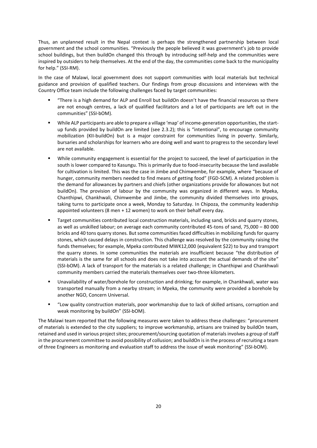Thus, an unplanned result in the Nepal context is perhaps the strengthened partnership between local government and the school communities. "Previously the people believed it was government's job to provide school buildings, but then buildOn changed this through by introducing self-help and the communities were inspired by outsiders to help themselves. At the end of the day, the communities come back to the municipality for help." (SSI-RM).

In the case of Malawi, local government does not support communities with local materials but technical guidance and provision of qualified teachers. Our findings from group discussions and interviews with the Country Office team include the following challenges faced by target communities:

- "There is a high demand for ALP and Enroll but buildOn doesn't have the financial resources so there are not enough centres, a lack of qualified facilitators and a lot of participants are left out in the communities" (SSI-bOM).
- While ALP participants are able to prepare a village 'map' of income-generation opportunities, the startup funds provided by buildOn are limited (see 2.3.2); this is "intentional", to encourage community mobilization (KII-buildOn) but is a major constraint for communities living in poverty. Similarly, bursaries and scholarships for learners who are doing well and want to progress to the secondary level are not available.
- While community engagement is essential for the project to succeed, the level of participation in the south is lower compared to Kasungu. This is primarily due to food-insecurity because the land available for cultivation is limited. This was the case in Jimbe and Chimwembe, for example, where "because of hunger, community members needed to find means of getting food" (FGD-SCM). A related problem is the demand for allowances by partners and chiefs (other organizations provide for allowances but not buildOn). The provision of labour by the community was organized in different ways. In Mpeka, Chanthipwi, Chankhwali, Chimwembe and Jimbe, the community divided themselves into groups, taking turns to participate once a week, Monday to Saturday. In Chipoza, the community leadership appointed volunteers (8 men + 12 women) to work on their behalf every day.
- Target communities contributed local construction materials, including sand, bricks and quarry stones, as well as unskilled labour; on average each community contributed 45-tons of sand, 75,000 – 80 000 bricks and 40 tons quarry stones. But some communitiesfaced difficulties in mobilizing funds for quarry stones, which caused delays in construction. This challenge was resolved by the community raising the funds themselves; for example, Mpeka contributed MWK12,000 (equivalent \$22) to buy and transport the quarry stones. In some communities the materials are insufficient because "the distribution of materials is the same for all schools and does not take into account the actual demands of the site" (SSI-bOM). A lack of transport for the materials is a related challenge; in Chanthipwi and Chankhwali community members carried the materials themselves over two-three kilometers.
- Unavailability of water/borehole for construction and drinking; for example, in Chankhwali, water was transported manually from a nearby stream; in Mpeka, the community were provided a borehole by another NGO, Concern Universal.
- "Low quality construction materials, poor workmanship due to lack of skilled artisans, corruption and weak monitoring by buildOn" (SSI-bOM).

The Malawi team reported that the following measures were taken to address these challenges: "procurement of materials is extended to the city suppliers; to improve workmanship, artisans are trained by buildOn team, retained and used in various project sites; procurement/sourcing quotation of materials involves a group of staff in the procurement committee to avoid possibility of collusion; and buildOn is in the process of recruiting a team of three Engineers as monitoring and evaluation staff to address the issue of weak monitoring" (SSI-bOM).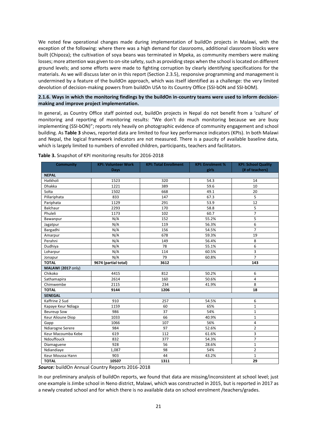We noted few operational changes made during implementation of buildOn projects in Malawi, with the exception of the following: where there was a high demand for classrooms, additional classroom blocks were built (Chipoza); the cultivation of soya beans was terminated in Mpeka, as community members were making losses; more attention was given to on-site safety, such as providing steps when the school is located on different ground levels; and some efforts were made to fighting corruption by clearly identifying specifications for the materials. As we will discuss later on in this report (Section 2.3.5), responsive programming and management is undermined by a feature of the buildOn approach, which was itself identified as a challenge: the very limited devolution of decision-making powers from buildOn USA to its Country Office (SSI-bON and SSI-bOM).

# **2.1.6. Ways in which the monitoring findings by the buildOn in-country teams were used to inform decisionmaking and improve project implementation.**

In general, as Country Office staff pointed out, buildOn projects in Nepal do not benefit from a 'culture' of monitoring and reporting of monitoring results: "We don't do much monitoring because we are busy implementing (SSI-bON)"; reports rely heavily on photographic evidence of community engagement and school building. As **Table 3** shows, reported data are limited to four key performance indicators (KPIs). In both Malawi and Nepal, the logical framework indicators are not measured. There is a paucity of available baseline data, which is largely limited to numbers of enrolled children, participants, teachers and facilitators.

| <b>Community</b>   | <b>KPI: Volunteer Work</b> | <b>KPI: Total Enrollment</b> | <b>KPI: Enrolment %</b> | <b>KPI: School Quality</b> |
|--------------------|----------------------------|------------------------------|-------------------------|----------------------------|
|                    | Days                       |                              | girls                   | (# of teachers)            |
| <b>NEPAL</b>       |                            |                              |                         |                            |
| Hatkholi           | 1523                       | 320                          | 54.3                    | 14                         |
| Dhakka             | 1221                       | 389                          | 59.6                    | 10                         |
| Solta              | 1502                       | 668                          | 49.1                    | 20                         |
| Pillariphata       | 833                        | 147                          | 67.3                    | 5                          |
| Pariphata          | 1129                       | 291                          | 53.9                    | 12                         |
| Balchaur           | 2293                       | 170                          | 58.8                    | 5                          |
| Phuleli            | 1173                       | 102                          | 60.7                    | $\overline{7}$             |
| Bawanpur           | N/A                        | 152                          | 55.2%                   | 5                          |
| Jagatpur           | N/A                        | 119                          | 56.3%                   | 6                          |
| Bargadhi           | N/A                        | 156                          | 54.5%                   | $\overline{7}$             |
| Amarpur            | N/A                        | 678                          | 59.3%                   | 19                         |
| Perahni            | N/A                        | 149                          | 56.4%                   | 8                          |
| Dudhiya            | N/A                        | 78                           | 55.1%                   | 6                          |
| Loharpur           | N/A                        | 114                          | 60.5%                   | $\overline{3}$             |
| Jonapur            | N/A                        | 79                           | 60.8%                   | $\overline{7}$             |
| <b>TOTAL</b>       | 9674 (partial total)       | 3612                         |                         | 143                        |
| MALAWI (2017 only) |                            |                              |                         |                            |
| Chikoko            | 4415                       | 812                          | 50.2%                   | 6                          |
| Sathamapira        | 2614                       | 160                          | 50.6%                   | $\overline{a}$             |
| Chimwembe          | 2115                       | 234                          | 41.9%                   | 8                          |
| <b>TOTAL</b>       | 9144                       | 1206                         |                         | 18                         |
| <b>SENEGAL</b>     |                            |                              |                         |                            |
| Kaffrine 2 Sud     | 910                        | 257                          | 54.5%                   | 6                          |
| Kapaye Keur Ndiaga | 1159                       | 60                           | 65%                     | 1                          |
| <b>Beureup Sow</b> | 986                        | 37                           | 54%                     | $\mathbf{1}$               |
| Keur Alioune Diop  | 1033                       | 66                           | 40.9%                   | $\mathbf{1}$               |
| Gapp               | 1066                       | 107                          | 56%                     | $\overline{\mathbf{4}}$    |
| Ndiarogne Serere   | 984                        | 97                           | 52.6%                   | $\overline{2}$             |
| Keur Macoumba Kebe | 619                        | 112                          | 61.6%                   | 3                          |
| Ndouffouck         | 832                        | 377                          | 54.3%                   | $\overline{7}$             |
| Diamaguene         | 928                        | 56                           | 28.6%                   | $\mathbf{1}$               |
| Ndiandiaye         | 1,087                      | 98                           | 54%                     | $\overline{2}$             |
| Keur Moussa Hann   | 903                        | 44                           | 43.2%                   | $\mathbf{1}$               |
| <b>TOTAL</b>       | 10507                      | 1311                         |                         | 29                         |

**Table 3.** Snapshot of KPI monitoring results for 2016-2018

*Source:* buildOn Annual Country Reports 2016-2018

In our preliminary analysis of buildOn reports, we found that data are missing/inconsistent at school level; just one example is Jimbe school in Neno district, Malawi, which was constructed in 2015, but is reported in 2017 as a newly created school and for which there is no available data on school enrolment /teachers/grades.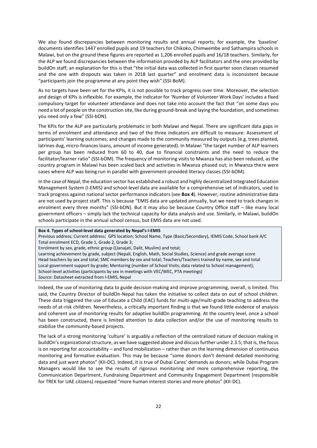We also found discrepancies between monitoring results and annual reports; for example, the 'baseline' documents identifies 1447 enrolled pupils and 19 teachers for Chikoko, Chimwembe and Sathampira schools in Malawi, but on the ground these figures are reported as 1,206 enrolled pupils and 16/18 teachers. Similarly, for the ALP we found discrepancies between the information provided by ALP facilitators and the ones provided by buildOn staff; an explanation for this is that "the initial data was collected in first quarter soon classes resumed and the one with dropouts was taken in 2018 last quarter" and enrolment data is inconsistent because "participants join the programme at any point they wish" (SSI-BoM).

As no targets have been set for the KPIs, it is not possible to track progress over time. Moreover, the selection and design of KPIs is inflexible. For example, the indicator for 'Number of Volunteer Work Days' includes a fixed compulsory target for volunteer attendance and does not take into account the fact that "on some days you need a lot of people on the construction site, like during ground-break and laying the foundation, and sometimes you need only a few" (SSI-bON).

The KPIs for the ALP are particularly problematic in both Malawi and Nepal. There are significant data gaps in terms of enrolment and attendance and two of the three indicators are difficult to measure: Assessment of participants' learning outcomes; and changes made to the community measured by outputs (e.g. trees planted, latrines dug, micro-finances loans, amount of income generated). In Malawi "the target number of ALP learners per group has been reduced from 60 to 40, due to financial constraints and the need to reduce the facilitator/learner ratio" (SSI-bOM). The frequency of monitoring visits to Mwanza has also been reduced, as the country program in Malawi has been scaled back and activities in Mwanza phased out; in Mwanza there were cases where ALP was being run in parallel with government-provided literacy classes (SSI-bOM).

In the case of Nepal, the education sector has established a robust and highly decentralized Integrated Education Management System (I-EMIS) and school-level data are available for a comprehensive set of indicators, used to track progress against national sector performance indicators (see **Box 4**). However, routine administrative data are not used by project staff. This is because "EMIS data are updated annually, but we need to track changes in enrolment every three months" (SSI-bON). But it may also be because Country Office staff – like many local government officers – simply lack the technical capacity for data analysis and use. Similarly, in Malawi, buildOn schools participate in the annual school census, but EMIS data are not used.

# **Box 4. Types of school-level data generated by Nepal's I-EMIS**

Previous address; Current address; GPS location; School Name, Type (Basic/Secondary), IEMIS Code, School bank A/C Total enrolment ECD, Grade 1, Grade 2, Grade 3;

Enrolment by sex, grade, ethnic group ((Janajati, Dalit, Muslim) and total;

Learning achievement by grade, subject (Nepali, English, Math, Social Studies, Science) and grade average score Head teachers by sex and total; SMC members by sex and total; Teachers/Teachers trained by name, sex and total Local government support by grade; Mentoring (number of School Visits; data related to School management); School-level activities (participants by sex in meetings with VEC/WEC, PTA meetings) *Source:* Datasheet extracted from I-EMIS, Nepal

Indeed, the use of monitoring data to guide decision-making and improve programming, overall, is limited. This said, the Country Director of buildOn-Nepal has taken the initiative to collect data on out of school children. These data triggered the use of Educate a Child (EAC) funds for multi-age/multi-grade teaching to address the needs of at-risk children. Nevertheless, a critically important finding is that we found little evidence of analysis and coherent use of monitoring results for adaptive buildOn programming. At the country level, once a school has been constructed, there is limited attention to data collection and/or the use of monitoring results to stabilize the community-based projects.

The lack of a strong monitoring 'culture' is arguably a reflection of the centralized nature of decision making in buildOn's organizational structure, as we have suggested above and discuss further under 2.3.5; that is, the focus is on reporting for accountability – and fund mobilization – rather than on the learning dimension of continuous monitoring and formative evaluation. This may be because "some donors don't demand detailed monitoring data and just want photos" (KII-DC). Indeed, it is true of Dubai Cares' demands as donors; while Dubai Program Managers would like to see the results of rigorous monitoring and more comprehensive reporting, the Communication Department, Fundraising Department and Community Engagement Department (responsible for TREK for UAE citizens) requested "more human interest stories and more photos" (KII-DC).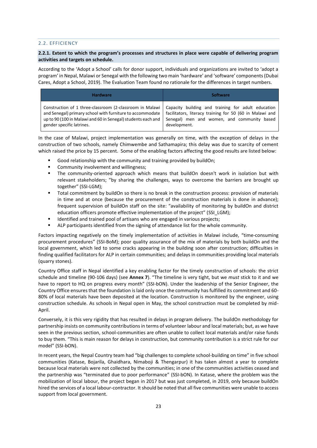# 2.2. EFFICIENCY

# **2.2.1. Extent to which the program's processes and structures in place were capable of delivering program activities and targets on schedule.**

According to the 'Adopt a School' calls for donor support, individuals and organizations are invited to 'adopt a program' in Nepal, Malawi or Senegal with the following two main 'hardware' and 'software' components (Dubai Cares, Adopt a School, 2019). The Evaluation Team found no rationale for the differences in target numbers.

| <b>Hardware</b>                                              | Software                                                 |
|--------------------------------------------------------------|----------------------------------------------------------|
| Construction of 1 three-classroom (2-classroom in Malawi     | Capacity building and training for adult education       |
| and Senegal) primary school with furniture to accommodate    | facilitators, literacy training for 50 (60 in Malawi and |
| up to 90 (100 in Malawi and 60 in Senegal) students each and | Senegal) men and women, and community based              |
| gender specific latrines.                                    | development.                                             |

In the case of Malawi, project implementation was generally on time, with the exception of delays in the construction of two schools, namely Chimwembe and Sathamapira; this delay was due to scarcity of cement which raised the price by 15 percent. Some of the enabling factors affecting the good results are listed below:

- Good relationship with the community and training provided by buildOn;
- Community involvement and willingness:
- The community-oriented approach which means that buildOn doesn't work in isolation but with relevant stakeholders; "by sharing the challenges, ways to overcome the barriers are brought up together" (SSI-LGM);
- Total commitment by buildOn so there is no break in the construction process: provision of materials in time and at once (because the procurement of the construction materials is done in advance); frequent supervision of buildOn staff on the site: "availability of monitoring by buildOn and district education officers promote effective implementation of the project" (SSI\_LGM);
- Identified and trained pool of artisans who are engaged in various projects;
- ALP participants identified from the signing of attendance list for the whole community.

Factors impacting negatively on the timely implementation of activities in Malawi include, "time-consuming procurement procedures" (SSI-BoM); poor quality assurance of the mix of materials by both buildOn and the local government, which led to some cracks appearing in the building soon after construction; difficulties in finding qualified facilitators for ALP in certain communities; and delays in communities providing local materials (quarry stones).

Country Office staff in Nepal identified a key enabling factor for the timely construction of schools: the strict schedule and timeline (90-106 days) (see **Annex 7**). "The timeline is very tight, but we *must* stick to it and we have to report to HQ on progress every month" (SSI-bON). Under the leadership of the Senior Engineer, the Country Office ensures that the foundation is laid only once the community has fulfilled its commitment and 60- 80% of local materials have been deposited at the location. Construction is monitored by the engineer, using construction schedule. As schools in Nepal open in May, the school construction must be completed by mid-April.

Conversely, it is this very rigidity that has resulted in delays in program delivery. The buildOn methodology for partnership insists on community contributions in terms of volunteer labour and local materials; but, as we have seen in the previous section, school-communities are often unable to collect local materials and/or raise funds to buy them. "This is main reason for delays in construction, but community contribution is a strict rule for our model" (SSI-bON).

In recent years, the Nepal Country team had "big challenges to complete school-building on time" in five school communities (Katase, Bojarila, Ghaidhara, Nimaboji & Thengarpur) it has taken almost a year to complete because local materials were not collected by the communities; in one of the communities activities ceased and the partnership was "terminated due to poor performance" (SSI-bON). In Katase, where the problem was the mobilization of local labour, the project began in 2017 but was just completed, in 2019, only because buildOn hired the services of a local labour-contractor. It should be noted that all five communities were unable to access support from local government.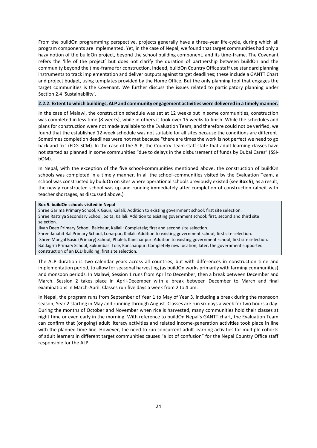From the buildOn programming perspective, projects generally have a three-year life-cycle, during which all program components are implemented. Yet, in the case of Nepal, we found that target communities had only a hazy notion of the buildOn project, beyond the school building component, and its time-frame. The Covenant refers the 'life of the project' but does not clarify the duration of partnership between buildOn and the community beyond the time-frame for construction. Indeed, buildOn Country Office staff use standard planning instruments to track implementation and deliver outputs against target deadlines; these include a GANTT Chart and project budget, using templates provided by the Home Office. But the only planning tool that engages the target communities is the Covenant. We further discuss the issues related to participatory planning under Section 2.4 'Sustainability'.

# **2.2.2. Extent to which buildings, ALP and community engagement activities were delivered in a timely manner.**

In the case of Malawi, the construction schedule was set at 12 weeks but in some communities, construction was completed in less time (8 weeks), while in others it took over 15 weeks to finish. While the schedules and plans for construction were not made available to the Evaluation Team, and therefore could not be verified, we found that the established 12-week schedule was not suitable for all sites because the conditions are different. Sometimes completion deadlines were not met because "there are times the work is not perfect we need to go back and fix" (FDG-SCM). In the case of the ALP, the Country Team staff state that adult learning classes have not started as planned in some communities "due to delays in the disbursement of funds by Dubai Cares" (SSIbOM).

In Nepal, with the exception of the five school-communities mentioned above, the construction of buildOn schools was completed in a timely manner. In all the school-communities visited by the Evaluation Team, a school was constructed by buildOn on sites where operational schools previously existed (see **Box 5**); as a result, the newly constructed school was up and running immediately after completion of construction (albeit with teacher shortages, as discussed above.)

#### **Box 5. buildOn schools visited in Nepal**

Shree Garima Primary School, K Gaun, Kailali: Addition to existing government school; first site selection. Shree Rastriya Secondary School, Solta, Kailali: Addition to existing government school; first, second and third site selection.

Jivan Deep Primary School, Balchaur, Kailali: Completely; first and second site selection.

Shree Janahit Bal Primary School, Loharpur, Kailali: Addition to existing government school; first site selection. Shree Mangal Basic (Primary) School, Phuleli, Kanchanpur: Addition to existing government school; first site selection. Bal Jagriti Primary School, Sukumbasi Tole, Kanchanpur: Completely new location; later, the government supported construction of an ECD building; first site selection.

The ALP duration is two calendar years across all countries, but with differences in construction time and implementation period, to allow for seasonal harvesting (as buildOn works primarily with farming communities) and monsoon periods. In Malawi, Session 1 runs from April to December, then a break between December and March. Session 2 takes place in April-December with a break between December to March and final examinations in March-April. Classes run five days a week from 2 to 4 pm.

In Nepal, the program runs from September of Year 1 to May of Year 3, including a break during the monsoon season; Year 2 starting in May and running through August. Classes are run six days a week for two hours a day. During the months of October and November when rice is harvested, many communities hold their classes at night time or even early in the morning. With reference to buildOn Nepal's GANTT chart, the Evaluation Team can confirm that (ongoing) adult literacy activities and related income-generation activities took place in line with the planned time-line. However, the need to run concurrent adult learning activities for multiple cohorts of adult learners in different target communities causes "a lot of confusion" for the Nepal Country Office staff responsible for the ALP.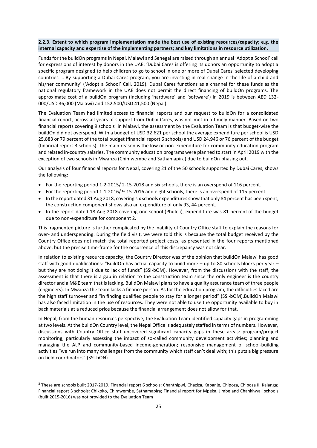# **2.2.3. Extent to which program implementation made the best use of existing resources/capacity; e.g. the internal capacity and expertise of the implementing partners; and key limitations in resource utilization.**

Funds for the buildOn programs in Nepal, Malawi and Senegal are raised through an annual 'Adopt a School' call for expressions of interest by donors in the UAE: 'Dubai Cares is offering its donors an opportunity to adopt a specific program designed to help children to go to school in one or more of Dubai Cares' selected developing countries … By supporting a Dubai Cares program, you are investing in real change in the life of a child and his/her community' ('Adopt a School' Call, 2019). Dubai Cares functions as a channel for these funds as the national regulatory framework in the UAE does not permit the direct financing of buildOn programs. The approximate cost of a buildOn program (including 'hardware' and 'software') in 2019 is between AED 132- 000/USD 36,000 (Malawi) and 152,500/USD 41,500 (Nepal).

The Evaluation Team had limited access to financial reports and our request to buildOn for a consolidated financial report, across all years of support from Dubai Cares, was not met in a timely manner. Based on two financial reports covering 9 schools<sup>3</sup> in Malawi, the assessment by the Evaluation Team is that budget-wise the buildOn did not overspend. With a budget of USD 32,621 per school the average expenditure per school is USD 25,883 or 79 percent of the total budget (financial report 6 schools) and USD 24,946 or 76 percent of the budget (financial report 3 schools). The main reason is the low or non-expenditure for community education program and related in-country salaries. The community education programs were planned to start in April 2019 with the exception of two schools in Mwanza (Chimwembe and Sathamapira) due to buildOn phasing out.

Our analysis of four financial reports for Nepal, covering 21 of the 50 schools supported by Dubai Cares, shows the following:

- For the reporting period 1-2-2015/ 2-15-2018 and six schools, there is an overspend of 116 percent.
- For the reporting period 1-1-2016/ 9-15-2016 and eight schools, there is an overspend of 115 percent.
- In the report dated 31 Aug 2018, covering six schools expenditures show that only 84 percent has been spent; the construction component shows also an expenditure of only 93, 44 percent.
- In the report dated 18 Aug 2018 covering one school (Phuleli), expenditure was 81 percent of the budget due to non-expenditure for component 2.

This fragmented picture is further complicated by the inability of Country Office staff to explain the reasons for over- and underspending. During the field visit, we were told this is because the total budget received by the Country Office does not match the total reported project costs, as presented in the four reports mentioned above, but the precise time-frame for the occurrence of this discrepancy was not clear.

In relation to existing resource capacity, the Country Director was of the opinion that buildOn Malawi has good staff with good qualifications: "BuildOn has actual capacity to build more – up to 80 schools blocks per year – but they are not doing it due to lack of funds" (SSI-bOM). However, from the discussions with the staff, the assessment is that there is a gap in relation to the construction team since the only engineer is the country director and a M&E team that is lacking. BuildOn Malawi plans to have a quality assurance team of three people (engineers). In Mwanza the team lacks a finance person. As for the education program, the difficulties faced are the high staff turnover and "in finding qualified people to stay for a longer period" (SSI-bOM).BuildOn Malawi has also faced limitation in the use of resources. They were not able to use the opportunity available to buy in back materials at a reduced price because the financial arrangement does not allow for that.

In Nepal, from the human resources perspective, the Evaluation Team identified capacity gaps in programming at two levels. At the buildOn Country level, the Nepal Office is adequately staffed in terms of numbers. However, discussions with Country Office staff uncovered significant capacity gaps in these areas: program/project monitoring, particularly assessing the impact of so-called community development activities; planning and managing the ALP and community-based income-generation; responsive management of school-building activities "we run into many challenges from the community which staff can't deal with; this puts a big pressure on field coordinators" (SSI-bON).

1

<sup>&</sup>lt;sup>3</sup> These are schools built 2017-2019. Financial report 6 schools: Chanthipwi, Chaziza, Kapanje, Chipoza, Chipoza II, Kalanga; Financial report 3 schools: Chikoko, Chimwembe, Sathamapira; Financial report for Mpeka, Jimbe and Chankhwali schools (built 2015-2016) was not provided to the Evaluation Team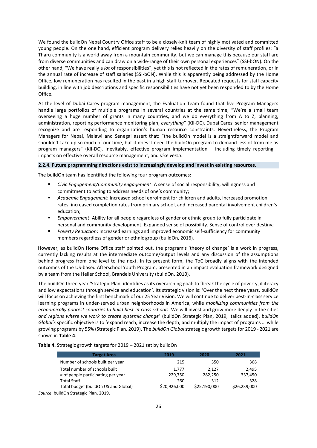We found the buildOn Nepal Country Office staff to be a closely-knit team of highly motivated and committed young people. On the one hand, efficient program delivery relies heavily on the diversity of staff profiles: "a Tharu community is a world away from a mountain community, but we can manage this because our staff are from diverse communities and can draw on a wide-range of their own personal experiences" (SSI-bON). On the other hand, "We have really a *lot* of responsibilities", yet this is not reflected in the rates of remuneration, or in the annual rate of increase of staff salaries (SSI-bON). While this is apparently being addressed by the Home Office, low remuneration has resulted in the past in a high staff turnover. Repeated requests for staff capacity building, in line with job descriptions and specific responsibilities have not yet been responded to by the Home Office.

At the level of Dubai Cares program management, the Evaluation Team found that five Program Managers handle large portfolios of multiple programs in several countries at the same time; "We're a small team overseeing a huge number of grants in many countries, and we do everything from A to Z, planning, administration, reporting performance monitoring plan, *everything*" (KII-DC). Dubai Cares' senior management recognize and are responding to organization's human resource constraints. Nevertheless, the Program Managers for Nepal, Malawi and Senegal assert that: "the buildOn model is a straightforward model and shouldn't take up so much of our time, but it does! I need the buildOn program to demand less of from me as program managers" (KII-DC). Inevitably, effective program implementation – including timely reporting – impacts on effective overall resource management, and *vice versa*.

#### **2.2.4. Future programming directions exist to increasingly develop and invest in existing resources.**

The buildOn team has identified the following four program outcomes:

- *Civic Engagement/Community engagement*: A sense of social responsibility; willingness and commitment to acting to address needs of one's community;
- *Academic Engagement*: Increased school enrolment for children and adults, increased promotion rates, increased completion rates from primary school, and increased parental involvement children's education;
- **Empowerment:** Ability for all people regardless of gender or ethnic group to fully participate in personal and community development. Expanded sense of possibility. Sense of control over destiny;
- *Poverty Reduction*: Increased earnings and improved economic self-sufficiency for community members regardless of gender or ethnic group (buildOn, 2016).

However, as buildOn Home Office staff pointed out, the program's 'theory of change' is a work in progress, currently lacking results at the intermediate outcome/output levels and any discussion of the assumptions behind progress from one level to the next. In its present form, the ToC broadly aligns with the intended outcomes of the US-based Afterschool Youth Program, presented in an impact evaluation framework designed by a team from the Heller School, Brandeis University (buildOn, 2010).

The buildOn three-year 'Strategic Plan' identifies as its overarching goal: to 'break the cycle of poverty, illiteracy and low expectations through service and education'. Its strategic vision is: 'Over the next three years, buildOn will focus on achieving the first benchmark of our 25 Year Vision. We will continue to deliver best-in-class service learning programs in under-served urban neighborhoods in America, while *mobilizing communities from the economically poorest countries to build best-in-class schools.* We will invest and grow more deeply in the cities *and regions where we work to create systemic change*' (buildOn Strategic Plan, 2019, italics added). *buildOn Global's* specific objective is to 'expand reach, increase the depth, and multiply the impact of programs … while growing programs by 55% (Strategic Plan, 2019). The *buildOn Global* strategic growth targets for 2019 - 2021 are shown in **Table 4**.

**Table 4.** Strategic growth targets for 2019 – 2021 set by buildOn

| <b>Target Area</b>                    | 2019         | 2020         | 2021         |
|---------------------------------------|--------------|--------------|--------------|
| Number of schools built per year      | 215          | 350          | 368          |
| Total number of schools built         | 1.777        | 2.127        | 2.495        |
| # of people participating per year    | 229,750      | 282,250      | 337,450      |
| <b>Total Staff</b>                    | 260          | 312          | 328          |
| Total budget (buildOn US and Global)  | \$20,926,000 | \$25,190,000 | \$26,239,000 |
| Source: buildOn Strategic Plan, 2019. |              |              |              |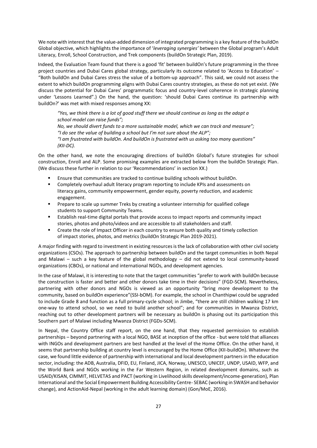We note with interest that the value-added dimension of integrated programming is a key feature of the buildOn Global objective, which highlights the importance of '*leveraging synergies'* between the Global program's Adult Literacy, Enroll, School Construction, and Trek components (buildOn Strategic Plan, 2019).

Indeed, the Evaluation Team found that there is a good 'fit' between buildOn's future programming in the three project countries and Dubai Cares global strategy, particularly its outcome related to 'Access to Education' – "Both buildOn and Dubai Cares stress the value of a bottom-up approach". This said, we could not assess the extent to which buildOn programming aligns with Dubai Cares country strategies, as these do not yet exist. (We discuss the potential for Dubai Cares' programmatic focus and country-level coherence in strategic planning under 'Lessons Learned".) On the hand, the question: 'should Dubai Cares continue its partnership with buildOn?' was met with mixed responses among XX:

*"Yes, we think there is a lot of good stuff there we should continue as long as the adopt a school model can raise funds";* 

*No, we should divert funds to a more sustainable model, which we can track and measure"; "I do see the value of building a school but I'm not sure about the ALP"; "I am frustrated with buildOn. And buildOn is frustrated with us asking too many questions" (KII-DC).* 

On the other hand, we note the encouraging directions of buildOn Global's future strategies for school construction, Enroll and ALP. Some promising examples are extracted below from the buildOn Strategic Plan. (We discuss these further in relation to our 'Recommendations' in section XX.)

- Ensure that communities are tracked to continue building schools without buildOn.
- Completely overhaul adult literacy program reporting to include KPIs and assessments on literacy gains, community empowerment, gender equity, poverty reduction, and academic engagement.
- **•** Prepare to scale up summer Treks by creating a volunteer internship for qualified college students to support Community Teams.
- Establish real-time digital portals that provide access to impact reports and community impact stories, photos and photo/videos and are accessible to all stakeholders and staff.
- Create the role of Impact Officer in each country to ensure both quality and timely collection of impact stories, photos, and metrics (buildOn Strategic Plan 2019-2021).

A major finding with regard to investment in existing resources is the lack of collaboration with other civil society organizations (CSOs). The approach to partnership between buildOn and the target communities in both Nepal and Malawi – such a key feature of the global methodology – did not extend to local community-based organizations (CBOs), or national and international NGOs, and development agencies.

In the case of Malawi, it is interesting to note that the target communities "prefer to work with buildOn because the construction is faster and better and other donors take time in their decisions" (FGD-SCM). Nevertheless, partnering with other donors and NGOs is viewed as an opportunity "bring more development to the community, based on buildOn experience"(SSI-bOM). For example, the school in Chanthipwi could be upgraded to include Grade 8 and function as a full primary-cycle school; in Jimbe, "there are still children walking 17 km one-way to attend school, so we need to build another school"; and for communities in Mwanza District, reaching out to other development partners will be necessary as buildOn is phasing out its participation this Southern part of Malawi including Mwanza District (FGDs-SCM).

In Nepal, the Country Office staff report, on the one hand, that they requested permission to establish partnerships – beyond partnering with a local NGO, BASE at inception of the office - but were told that alliances with INGOs and development partners are best handled at the level of the Home Office. On the other hand, it seems that partnership building at country level is encouraged by the Home Office (KII-buildOn). Whatever the case, we found little evidence of partnership with international and local development partners in the education sector, including: the ADB, Australia, DFID, EU, Finland, JICA, Norway, UNESCO, UNICEF, UNDP, USAID, WFP, and the World Bank and NGOs working in the Far Western Region, in related development domains, such as USAID/KISAN, CIMMIT, HELVETAS and PACT (working in Livelihood skills development/income-generation), Plan International and the Social Empowerment Building Accessibility Centre- SEBAC (working in SWASH and behavior change), and ActionAid-Nepal (working in the adult learning domain) (Gon/MoE, 2016).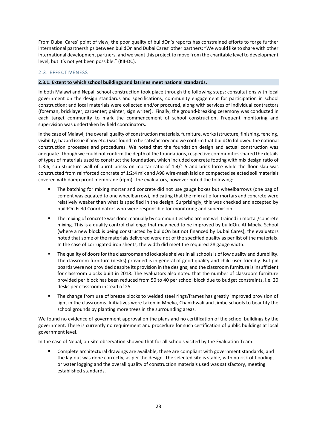From Dubai Cares' point of view, the poor quality of buildOn's reports has constrained efforts to forge further international partnerships between buildOn and Dubai Cares' other partners; "We would like to share with other international development partners, and we want this project to move from the charitable level to development level, but it's not yet been possible." (KII-DC).

# 2.3. EFFECTIVENESS

#### **2.3.1. Extent to which school buildings and latrines meet national standards.**

In both Malawi and Nepal, school construction took place through the following steps: consultations with local government on the design standards and specifications; community engagement for participation in school construction; and local materials were collected and/or procured, along with services of individual contractors (foreman, bricklayer, carpenter; painter, sign writer). Finally, the ground-breaking ceremony was conducted in each target community to mark the commencement of school construction. Frequent monitoring and supervision was undertaken by field coordinators.

In the case of Malawi, the overall quality of construction materials, furniture, works (structure, finishing, fencing, visibility; hazard issue if any etc.) was found to be satisfactory and we confirm that buildOn followed the national construction processes and procedures. We noted that the foundation design and actual construction was adequate. Though we could not confirm the depth of the foundations, respective communities shared the details of types of materials used to construct the foundation, which included concrete footing with mix design ratio of 1:3:6, sub-structure wall of burnt bricks on mortar ratio of 1:4/1:5 and brick-force while the floor slab was constructed from reinforced concrete of 1:2:4 mix and A98 wire-mesh laid on compacted selected soil materials covered with damp proof membrane (dpm). The evaluators, however noted the following:

- The batching for mixing mortar and concrete did not use gauge boxes but wheelbarrows (one bag of cement was equated to one wheelbarrow), indicating that the mix ratio for mortars and concrete were relatively weaker than what is specified in the design. Surprisingly, this was checked and accepted by buildOn Field Coordinators who were responsible for monitoring and supervision.
- The mixing of concrete was done manually by communities who are not well trained in mortar/concrete mixing. This is a quality control challenge that may need to be improved by buildOn. At Mpeka School (where a new block is being constructed by buildOn but not financed by Dubai Cares), the evaluators noted that some of the materials delivered were not of the specified quality as per list of the materials. In the case of corrugated iron sheets, the width did meet the required 28 gauge width.
- The quality of doors for the classrooms and lockable shelves in all schools is of low quality and durability. The classroom furniture (desks) provided is in general of good quality and child user-friendly. But pin boards were not provided despite its provision in the designs; and the classroom furniture is insufficient for classroom blocks built in 2018. The evaluators also noted that the number of classroom furniture provided per block has been reduced from 50 to 40 per school block due to budget constraints, i.e. 20 desks per classroom instead of 25.
- The change from use of breeze blocks to welded steel rings/frames has greatly improved provision of light in the classrooms. Initiatives were taken in Mpeka, Chankhwali and Jimbe schools to beautify the school grounds by planting more trees in the surrounding areas.

We found no evidence of government approval on the plans and no certification of the school buildings by the government. There is currently no requirement and procedure for such certification of public buildings at local government level.

In the case of Nepal, on-site observation showed that for all schools visited by the Evaluation Team:

Complete architectural drawings are available, these are compliant with government standards, and the lay-out was done correctly, as per the design. The selected site is stable, with no risk of flooding, or water logging and the overall quality of construction materials used was satisfactory, meeting established standards.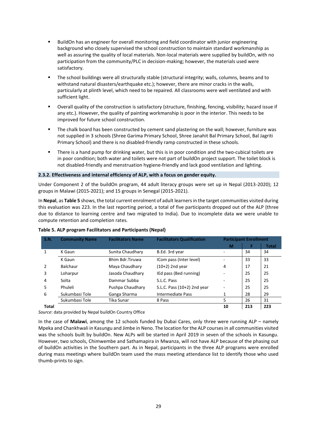- BuildOn has an engineer for overall monitoring and field coordinator with junior engineering background who closely supervised the school construction to maintain standard workmanship as well as assuring the quality of local materials. Non-local materials were supplied by buildOn, with no participation from the community/PLC in decision-making; however, the materials used were satisfactory.
- The school buildings were all structurally stable (structural integrity; walls, columns, beams and to withstand natural disasters/earthquake etc.); however, there are minor cracks in the walls, particularly at plinth level, which need to be repaired. All classrooms were well ventilated and with sufficient light.
- Overall quality of the construction is satisfactory (structure, finishing, fencing, visibility; hazard issue if any etc.). However, the quality of painting workmanship is poor in the interior. This needs to be improved for future school construction.
- The chalk board has been constructed by cement sand plastering on the wall; however, furniture was not supplied in 3 schools (Shree Garima Primary School, Shree Janahit Bal Primary School, Bal Jagriti Primary School) and there is no disabled-friendly ramp constructed in these schools.
- There is a hand pump for drinking water, but this is in poor condition and the two-cubical toilets are in poor condition; both water and toilets were not part of buildOn project support. The toilet block is not disabled-friendly and menstruation hygiene-friendly and lack good ventilation and lighting.

#### **2.3.2. Effectiveness and internal efficiency of ALP, with a focus on gender equity.**

Under Component 2 of the buildOn program, 44 adult literacy groups were set up in Nepal (2013-2020); 12 groups in Malawi (2015-2021); and 15 groups in Senegal (2015-2021).

In **Nepal**, as **Table 5** shows, the total current enrolment of adult learners in the target communities visited during this evaluation was 223. In the last reporting period, a total of five participants dropped out of the ALP (three due to distance to learning centre and two migrated to India). Due to incomplete data we were unable to compute retention and completion rates.

| S.N.  | <b>Community Name</b> | <b>Facilitators Name</b><br><b>Facilitators Qualification</b> |                             |                          | <b>Participant Enrollment</b> |              |  |  |
|-------|-----------------------|---------------------------------------------------------------|-----------------------------|--------------------------|-------------------------------|--------------|--|--|
|       |                       |                                                               |                             | м                        | F                             | <b>Total</b> |  |  |
|       | K Gaun                | Sunita Chaudhary                                              | B.Ed. 3rd year              |                          | 34                            | 34           |  |  |
|       | K Gaun                | Bhim Bdr.Tiruwa                                               | ICom pass (Inter level)     |                          | 33                            | 33           |  |  |
| 2     | <b>Balchaur</b>       | Maya Chaudhary                                                | $(10+2)$ 2nd year           | 4                        | 17                            | 21           |  |  |
| 3     | Loharpur              | Jasoda Chaudhary                                              | IEd pass (Bed running)      | $\overline{\phantom{a}}$ | 25                            | 25           |  |  |
| 4     | Solta                 | Dammar Subba                                                  | S.L.C. Pass                 |                          | 25                            | 25           |  |  |
| 5     | Phuleli               | Pushpa Chaudhary                                              | S.L.C. Pass (10+2) 2nd year |                          | 25                            | 25           |  |  |
| 6     | Sukumbasi Tole        | Ganga Sharma                                                  | Intermediate Pass           | 1                        | 28                            | 29           |  |  |
|       | Sukumbasi Tole        | Tika Sunar                                                    | 8 Pass                      | 5                        | 26                            | 31           |  |  |
| Total |                       |                                                               |                             | 10                       | 213                           | 223          |  |  |

#### **Table 5. ALP program Facilitators and Participants (Nepal)**

*Source*: data provided by Nepal buildOn Country Office

In the case of **Malawi**, among the 12 schools funded by Dubai Cares, only three were running ALP – namely Mpeka and Chankhwali in Kasungu and Jimbe in Neno. The location for the ALP courses in all communities visited was the schools built by buildOn. New ALPs will be started in April 2019 in seven of the schools in Kasungu. However, two schools, Chimwembe and Sathamapira in Mwanza, will not have ALP because of the phasing out of buildOn activities in the Southern part. As in Nepal, participants in the three ALP programs were enrolled during mass meetings where buildOn team used the mass meeting attendance list to identify those who used thumb-prints to sign.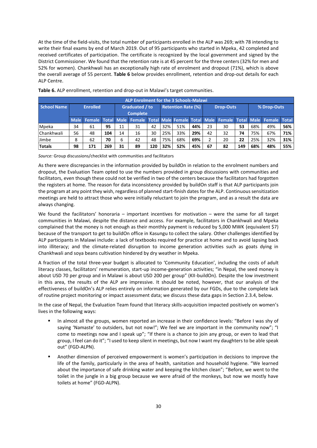At the time of the field-visits, the total number of participants enrolled in the ALP was 269; with 78 intending to write their final exams by end of March 2019. Out of 95 participants who started in Mpeka, 42 completed and received certificates of participation. The certificate is recognized by the local government and signed by the District Commissioner. We found that the retention rate is at 45 percent for the three centers (32% for men and 52% for women). Chankhwali has an exceptionally high rate of enrolment and dropout (71%), which is above the overall average of 55 percent. **Table 6** below provides enrollment, retention and drop-out details for each ALP Centre.

| <b>ALP Enrolment for the 3 Schools-Malawi</b> |                 |     |                                   |    |                                                                                           |     |                  |     |     |             |    |     |     |     |     |
|-----------------------------------------------|-----------------|-----|-----------------------------------|----|-------------------------------------------------------------------------------------------|-----|------------------|-----|-----|-------------|----|-----|-----|-----|-----|
| <b>School Name</b>                            | <b>Enrolled</b> |     | Graduated / to<br><b>Complete</b> |    | <b>Retention Rate (%)</b>                                                                 |     | <b>Drop-Outs</b> |     |     | % Drop-Outs |    |     |     |     |     |
|                                               |                 |     |                                   |    | Male Female Total Male Female Total Male Female Total Male Female Total Male Female Total |     |                  |     |     |             |    |     |     |     |     |
| Mpeka                                         | 34              | 61  | 95                                | 11 | 31                                                                                        | 42  | 32%              | 51% | 44% | 23          | 30 | 53  | 68% | 49% | 56% |
| Chankhwali                                    | 56              | 48  | 104                               | 14 | 16                                                                                        | 30  | 25%              | 33% | 29% | 42          | 32 | 74  | 75% | 67% | 71% |
| Jimbe                                         | 8               | 62  | 70                                | 6  | 42                                                                                        | 48  | 75%              | 68% | 69% | 2           | 20 | 22  | 25% | 32% | 31% |
| <b>Totals</b>                                 | 98              | 171 | 269                               | 31 | 89                                                                                        | 120 | 32%              | 52% | 45% | 67          | 82 | 149 | 68% | 48% | 55% |

**Table 6.** ALP enrollment, retention and drop-out in Malawi's target communities.

*Source:* Group discussions/checklist with communities and facilitators

As there were discrepancies in the information provided by buildOn in relation to the enrolment numbers and dropout, the Evaluation Team opted to use the numbers provided in group discussions with communities and facilitators, even though these could not be verified in two of the centers because the facilitators had forgotten the registers at home. The reason for data inconsistency provided by buildOn staff is that ALP participants join the program at any point they wish, regardless of planned start-finish dates for the ALP. Continuous sensitization meetings are held to attract those who were initially reluctant to join the program, and as a result the data are always changing.

We found the facilitators' honoraria – important incentives for motivation – were the same for all target communities in Malawi, despite the distance and access. For example, facilitators in Chankhwali and Mpeka complained that the money is not enough as their monthly payment is reduced by 5,000 MWK (equivalent \$7) because of the transport to get to buildOn office in Kasungu to collect the salary. Other challenges identified by ALP participants in Malawi include: a lack of textbooks required for practice at home and to avoid lapsing back into illiteracy; and the climate-related disruption to income generation activities such as goats dying in Chankhwali and soya beans cultivation hindered by dry weather in Mpeka.

A fraction of the total three-year budget is allocated to 'Community Education', including the costs of adult literacy classes, facilitators' remuneration, start-up income-generation activities; "in Nepal, the seed money is about USD 70 per group and in Malawi is about USD 200 per group" (KII-buildOn). Despite the low investment in this area, the results of the ALP are impressive. It should be noted, however, that our analysis of the effectiveness of buildOn's ALP relies entirely on information generated by our FGDs, due to the complete lack of routine project monitoring or impact assessment data; we discuss these data gaps in Section 2.3.4, below.

In the case of Nepal, the Evaluation Team found that literacy skills-acquisition impacted positively on women's lives in the following ways:

- In almost all the groups, women reported an increase in their confidence levels: "Before I was shy of saying 'Namaste' to outsiders, but not now!"; We feel we are important in the community now"; "I come to meetings now and I speak up"; "If there is a chance to join any group, or even to lead that group, I feel can do it"; "I used to keep silent in meetings, but now I want my daughters to be able speak out" (FGD-ALPN).
- Another dimension of perceived empowerment is women's participation in decisions to improve the life of the family, particularly in the area of health, sanitation and household hygiene. "We learned about the importance of safe drinking water and keeping the kitchen clean"; "Before, we went to the toilet in the jungle in a big group because we were afraid of the monkeys, but now we mostly have toilets at home" (FGD-ALPN).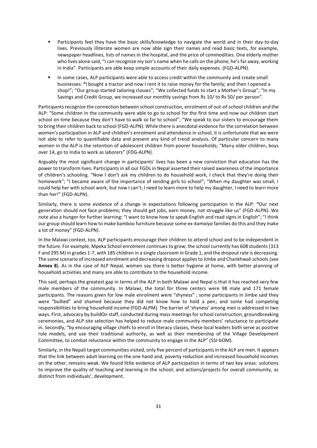- Participants feel they have the basic skills/knowledge to navigate the world and in their day-to-day lives. Previously illiterate women are now able sign their names and read basic texts, for example, newspaper headlines, lists of names in the hospital, and the price of commodities. One elderly mother who lives alone said, "I can recognize my son's name when he calls on the phone; he's far away, working in India". Participants are able keep simple accounts of their daily expenses. (FGD-ALPN).
- In some cases, ALP participants were able to access credit within the community and create small businesses: **"**I bought a tractor and now I rent it to raise money for the family; and then I opened a shop!"; "Our group started tailoring classes"; "We collected funds to start a Mother's Group"; "In my Savings and Credit Group, we increased our monthly savings from Rs 10/ to Rs 50/ per person".

Participants recognize the connection between school construction, enrolment of out-of-school children and the ALP: "Some children in the community were able to go to school for the first time and now our children start school on time because they don't have to walk so far to school"; "We speak to our sisters to encourage them to bring their children back to school (FGD-ALPN). While there is anecdotal evidence for the correlation between women's participation in ALP and children's enrolment and attendance in school, it is unfortunate that we were not able to refer to quantifiable data and present any kind of trend analysis. Of particular concern to many women in the ALP is the retention of adolescent children from poorer households; "Many older children, boys over 14, go to India to work as laborers" (FDG-ALPN).

Arguably the most significant change in participants' lives has been a new conviction that education has the power to transform lives. Participants in all our FGDs in Nepal asserted their raised awareness of the importance of children's schooling. "Now I don't ask my children to do household work, I check that they're doing their homework"; "I became aware of the importance of sending girls to school"; "When my daughter was small, I could help her with school work, but now I can't; I need to learn more to help my daughter, I need to learn more than her!" (FGD-ALPN).

Similarly, there is some evidence of a change in expectations following participation in the ALP: **"**Our next generation should not face problems; they should get jobs, earn money, not struggle like us" (FGD-ALPN). We note also a hunger for further learning: "I want to know how to speak English and read signs in English"; "I think our group should learn how to make bamboo furniture because some ex-*kamaiya* families do this and they make a lot of money" (FGD-ALPN).

In the Malawi context, too, ALP participants encourage their children to attend school and to be independent in the future. For example, Mpeka School enrolment continues to grow; the school currently has 608 students (313 F and 295 M) in grades 1-7, with 185 children in a single classroom in Grade 1, and the dropout rate is decreasing. The same scenario of increased enrolment and decreasing dropout applies to Jimbe and Chankhwali schools (see **Annex 8**). As in the case of ALP Nepal, women say there is better hygiene at home, with better planning of household activities and many are able to contribute to the household income.

This said, perhaps the greatest gap in terms of the ALP in both Malawi and Nepal is that it has reached very few male members of the community. In Malawi, the total for three centers were 98 male and 171 female participants. The reasons given for low male enrolment were "shyness" ; some participants in Jimbe said they were "bullied" and shamed because they did not know how to hold a pen; and some had competing responsibilities to bring household income (FGD-ALPM). The barrier of 'shyness' among men is addressed in two ways. First, advocacy by buildOn staff, conducted during mass meetings for school construction, groundbreaking ceremonies, and ALP site selection has helped to reduce male community members' reluctance to participate in. Secondly, "by encouraging village chiefs to enroll in literacy classes, these local leaders both serve as positive role models, and use their traditional authority, as well as their membership of the Village Development Committee, to combat reluctance within the community to engage in the ALP" (SSI-bOM).

Similarly, in the Nepali target communities visited, only five percent of participants in the ALP are men. It appears that the link between adult learning on the one hand and, poverty reduction and increased household incomes on the other, remains weak. We found little evidence of ALP participation in terms of two key areas: solutions to improve the quality of teaching and learning in the school; and actions/projects for overall community, as distinct from individuals', development.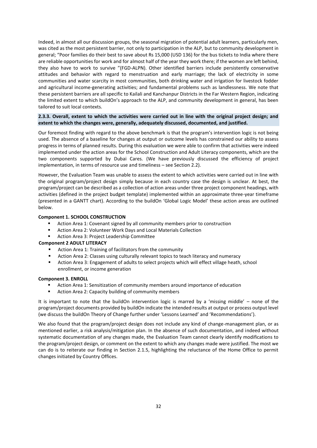Indeed, in almost all our discussion groups, the seasonal migration of potential adult learners, particularly men, was cited as the most persistent barrier, not only to participation in the ALP, but to community development in general; "Poor families do their best to save about Rs 15,000 (USD 136) for the bus tickets to India where there are reliable opportunities for work and for almost half of the year they work there; if the women are left behind, they also have to work to survive "(FGD-ALPN). Other identified barriers include persistently conservative attitudes and behavior with regard to menstruation and early marriage; the lack of electricity in some communities and water scarcity in most communities, both drinking water and irrigation for livestock fodder and agricultural income-generating activities; and fundamental problems such as landlessness. We note that these persistent barriers are all specific to Kailali and Kanchanpur Districts in the Far Western Region, indicating the limited extent to which buildOn's approach to the ALP, and community development in general, has been tailored to suit local contexts.

# **2.3.3. Overall, extent to which the activities were carried out in line with the original project design; and extent to which the changes were, generally, adequately discussed, documented, and justified.**

Our foremost finding with regard to the above benchmark is that the program's intervention logic is not being used. The absence of a baseline for changes at output or outcome levels has constrained our ability to assess progress in terms of planned results. During this evaluation we were able to confirm that activities were indeed implemented under the action areas for the School Construction and Adult Literacy components, which are the two components supported by Dubai Cares. (We have previously discussed the efficiency of project implementation, in terms of resource use and timeliness – see Section 2.2).

However, the Evaluation Team was unable to assess the extent to which activities were carried out in line with the original program/project design simply because in each country case the design is unclear. At best, the program/project can be described as a collection of action areas under three project component headings, with activities (defined in the project budget template) implemented within an approximate three-year timeframe (presented in a GANTT chart). According to the buildOn 'Global Logic Model' these action areas are outlined below.

## **Component 1. SCHOOL CONSTRUCTION**

- Action Area 1: Covenant signed by all community members prior to construction
- Action Area 2: Volunteer Work Days and Local Materials Collection
- Action Area 3: Project Leadership Committee

#### **Component 2 ADULT LITERACY**

- Action Area 1: Training of facilitators from the community
- Action Area 2: Classes using culturally relevant topics to teach literacy and numeracy
- Action Area 3: Engagement of adults to select projects which will effect village heath, school enrollment, or income generation

#### **Component 3. ENROLL**

- Action Area 1: Sensitization of community members around importance of education
- Action Area 2: Capacity building of community members

It is important to note that the buildOn intervention logic is marred by a 'missing middle' – none of the program/project documents provided by buildOn indicate the intended results at output or process output level (we discuss the buildOn Theory of Change further under 'Lessons Learned' and 'Recommendations').

We also found that the program/project design does not include any kind of change-management plan, or as mentioned earlier, a risk analysis/mitigation plan. In the absence of such documentation, and indeed without systematic documentation of any changes made, the Evaluation Team cannot clearly identify modifications to the program/project design, or comment on the extent to which any changes made were justified. The most we can do is to reiterate our finding in Section 2.1.5, highlighting the reluctance of the Home Office to permit changes initiated by Country Offices.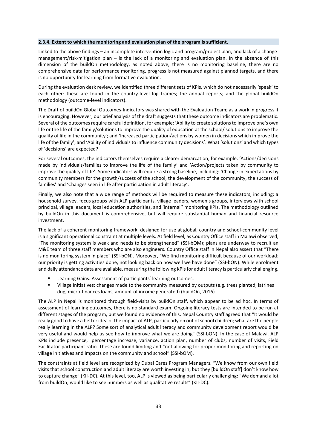#### **2.3.4. Extent to which the monitoring and evaluation plan of the program is sufficient.**

Linked to the above findings – an incomplete intervention logic and program/project plan, and lack of a changemanagement/risk-mitigation plan – is the lack of a monitoring and evaluation plan. In the absence of this dimension of the buildOn methodology, as noted above, there is no monitoring baseline, there are no comprehensive data for performance monitoring, progress is not measured against planned targets, and there is no opportunity for learning from formative evaluation.

During the evaluation desk review, we identified three different sets of KPIs, which do not necessarily 'speak' to each other: these are found in the country-level log frames; the annual reports; and the global buildOn methodology (outcome-level indicators).

The Draft of buildOn Global Outcomes-Indicators was shared with the Evaluation Team; as a work in progress it is encouraging. However, our brief analysis of the draft suggests that these outcome indicators are problematic. Several of the outcomes require careful definition, for example: 'Ability to create solutions to improve one's own life or the life of the family/solutions to improve the quality of education at the school/ solutions to improve the quality of life in the community'; and 'Increased participation/actions by women in decisions which improve the life of the family'; and 'Ability of individuals to influence community decisions'. What 'solutions' and which types of 'decisions' are expected?

For several outcomes, the indicators themselves require a clearer demarcation, for example: 'Actions/decisions made by individuals/families to improve the life of the family' and 'Action/projects taken by community to improve the quality of life'. Some indicators will require a strong baseline, including: 'Change in expectations by community members for the growth/success of the school, the development of the community, the success of families' and 'Changes seen in life after participation in adult literacy'.

Finally, we also note that a wide range of methods will be required to measure these indicators, including: a household survey, focus groups with ALP participants, village leaders, women's groups, interviews with school principal, village leaders, local education authorities, and 'internal'' monitoring KPIs. The methodology outlined by buildOn in this document is comprehensive, but will require substantial human and financial resource investment.

The lack of a coherent monitoring framework, designed for use at global, country and school-community level is a significant operational constraint at multiple levels. At field level, as Country Office staff in Malawi observed, "The monitoring system is weak and needs to be strengthened" (SSI-bOM); plans are underway to recruit an M&E team of three staff members who are also engineers. Country Office staff in Nepal also assert that "There is no monitoring system in place" (SSI-bON). Moreover, "We find monitoring difficult because of our workload; our priority is getting activities done, not looking back on how well we have done" (SSI-bON). While enrolment and daily attendance data are available, measuring the following KPIs for adult literacy is particularly challenging.

- Learning Gains: Assessment of participants' learning outcomes;
- Village Initiatives: changes made to the community measured by outputs (e.g. trees planted, latrines dug, micro-finances loans, amount of income generated) (buildOn, 2016).

The ALP in Nepal is monitored through field-visits by buildOn staff, which appear to be ad hoc. In terms of assessment of learning outcomes, there is no standard exam. Ongoing literacy tests are intended to be run at different stages of the program, but we found no evidence of this. Nepal Country staff agreed that "It would be really good to have a better idea of the impact of ALP, particularly on out of school children; what are the people really learning in the ALP? Some sort of analytical adult literacy and community development report would be very useful and would help us see how to improve what we are doing" (SSI-bON). In the case of Malawi, ALP KPIs include presence, percentage increase, variance, action plan, number of clubs, number of visits, Field Facilitator-participant ratio. These are found limiting and "not allowing for proper monitoring and reporting on village initiatives and impacts on the community and school" (SSI-bOM).

The constraints at field level are recognized by Dubai Cares Program Managers. "We know from our own field visits that school construction and adult literacy are worth investing in, but they [buildOn staff] don't know how to capture change" (KII-DC). At this level, too, ALP is viewed as being particularly challenging: "We demand a lot from buildOn; would like to see numbers as well as qualitative results" (KII-DC).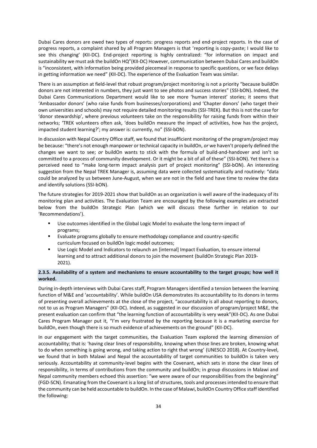Dubai Cares donors are owed two types of reports: progress reports and end-project reports. In the case of progress reports, a complaint shared by all Program Managers is that 'reporting is copy-paste; I would like to see this changing' (KII-DC). End-project reporting is highly centralized: "for information on impact and sustainability we must ask the buildOn HQ"(KII-DC) However, communication between Dubai Cares and buildOn is "inconsistent, with information being provided piecemeal in response to specific questions, or we face delays in getting information we need" (KII-DC). The experience of the Evaluation Team was similar.

There is an assumption at field-level that robust program/project monitoring is not a priority "because buildOn donors are not interested in numbers, they just want to see photos and success stories" (SSI-bON). Indeed, the Dubai Cares Communications Department would like to see more 'human interest' stories; it seems that 'Ambassador donors' (who raise funds from businesses/corporations) and 'Chapter donors' (who target their own universities and schools) may not require detailed monitoring results (SSI-TREK). But this is not the case for 'donor stewardship', where previous volunteers take on the responsibility for raising funds from within their networks; 'TREK volunteers often ask, 'does buildOn measure the impact of activities, how has the project, impacted student learning?'; my answer is: currently, no" (SSI-bON).

In discussion with Nepal Country Office staff, we found that insufficient monitoring of the program/project may be because: "there's not enough manpower or technical capacity in buildOn, *or* we haven't properly defined the changes we want to see; *or* buildOn wants to stick with the formula of build-and-handover and isn't so committed to a process of community development. Or it might be a bit of all of these" (SSI-bON). Yet there is a perceived need to "make long-term impact analysis part of project monitoring" (SSI-bON). An interesting suggestion from the Nepal TREK Manager is, assuming data were collected systematically and routinely: "data could be analyzed by us between June-August, when we are not in the field and have time to review the data and identify solutions (SSI-bON).

The future strategies for 2019-2021 show that buildOn as an organization is well aware of the inadequacy of its monitoring plan and activities. The Evaluation Team are encouraged by the following examples are extracted below from the buildOn Strategic Plan (which we will discuss these further in relation to our 'Recommendations').

- Use outcomes identified in the Global Logic Model to evaluate the long-term impact of programs;
- Evaluate programs globally to ensure methodology compliance and country-specific curriculum focused on buildOn logic model outcomes;
- Use Logic Model and Indicators to relaunch an [internal] Impact Evaluation, to ensure internal learning and to attract additional donors to join the movement (buildOn Strategic Plan 2019- 2021).

# **2.3.5. Availability of a system and mechanisms to ensure accountability to the target groups; how well it worked.**

During in-depth interviews with Dubai Cares staff, Program Managers identified a tension between the learning function of M&E and 'accountability'. While buildOn USA demonstrates its accountability to its donors in terms of presenting overall achievements at the close of the project, "accountability is all about reporting to donors, not to us as Program Managers" (KII-DC). Indeed, as suggested in our discussion of program/project M&E, the present evaluation can confirm that "the learning function of accountability is very weak"(KII-DC). As one Dubai Cares Program Manager put it, "I'm very frustrated by the reporting because it is a marketing exercise for buildOn, even though there is so much evidence of achievements on the ground" (KII-DC).

In our engagement with the target communities, the Evaluation Team explored the learning dimension of accountability; that is: 'having clear lines of responsibility, knowing when those lines are broken, knowing what to do when something is going wrong, and taking action to right that wrong' (UNESCO 2018). At Country-level, we found that in both Malawi and Nepal the accountability of target communities to buildOn is taken very seriously. Accountability at community-level begins with the Covenant, which sets in stone the clear lines of responsibility, in terms of contributions from the community and buildOn; in group discussions in Malawi and Nepal community members echoed this assertion: "we were aware of our responsibilities from the beginning" (FGD-SCN). Emanating from the Covenant is a long list of structures, tools and processes intended to ensure that the community can be held accountable to buildOn. In the case of Malawi, buildOn Country Office staff identified the following: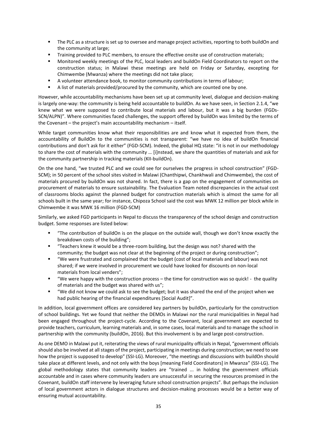- The PLC as a structure is set up to oversee and manage project activities, reporting to both buildOn and the community at large;
- Training provided to PLC members, to ensure the effective onsite use of construction materials;
- Monitored weekly meetings of the PLC, local leaders and buildOn Field Coordinators to report on the construction status; in Malawi these meetings are held on Friday or Saturday, excepting for Chimwembe (Mwanza) where the meetings did not take place;
- A volunteer attendance book, to monitor community contributions in terms of labour;
- A list of materials provided/procured by the community, which are counted one by one.

However, while accountability mechanisms have been set up at community level, dialogue and decision-making is largely one-way: the community is being held accountable to buildOn. As we have seen, in Section 2.1.4, "we knew what we were supposed to contribute local materials and labour, but it was a big burden (FGDs-SCN/ALPN)". Where communities faced challenges, the support offered by buildOn was limited by the terms of the Covenant – the project's main accountability mechanism – itself.

While target communities know what their responsibilities are and know what it expected from them, the accountability of BuildOn to the communities is not transparent: "we have no idea of buildOn financial contributions and don't ask for it either" (FGD-SCM). Indeed, the global HQ state: "it is not in our methodology to share the cost of materials with the community … [i]nstead, we share the quantities of materials and ask for the community partnership in tracking materials (KII-buildOn).

On the one hand, "we trusted PLC and we could see for ourselves the progress in school construction" (FGD-SCM); in 50 percent of the school sites visited in Malawi (Chanthipwi, Chankhwali and Chimwembe), the cost of materials procured by buildOn was not shared. In fact, there is a gap on the engagement of communities on procurement of materials to ensure sustainability. The Evaluation Team noted discrepancies in the actual cost of classrooms blocks against the planned budget for construction materials which is almost the same for all schools built in the same year; for instance, Chipoza School said the cost was MWK 12 million per block while in Chimwembe it was MWK 16 million (FGD-SCM)

Similarly, we asked FGD participants in Nepal to discuss the transparency of the school design and construction budget. Some responses are listed below:

- "The contribution of buildOn is on the plaque on the outside wall, though we don't know exactly the breakdown costs of the building";
- "Teachers knew it would be a three-room building, but the design was not? shared with the community; the budget was not clear at the beginning of the project or during construction";
- "We were frustrated and complained that the budget (cost of local materials and labour) was not shared; if we were involved in procurement we could have looked for discounts on non-local materials from local venders";
- "We were happy with the construction process the time for construction was so quick! the quality of materials and the budget was shared with us";
- "We did not know we could ask to see the budget; but it was shared the end of the project when we had public hearing of the financial expenditures [Social Audit]".

In addition, local government offices are considered key partners by buildOn, particularly for the construction of school buildings. Yet we found that neither the DEMOs in Malawi nor the rural municipalities in Nepal had been engaged throughout the project-cycle. According to the Covenant, local government are expected to provide teachers, curriculum, learning materials and, in some cases, local materials and to manage the school in partnership with the community (buildOn, 2016). But this involvement is by and large post-construction.

As one DEMO in Malawi put it, reiterating the views of rural municipality officials in Nepal, "government officials should also be involved at all stages of the project, participating in meetings during construction; we need to see how the project is supposed to develop" (SSI-LG). Moreover, "the meetings and discussions with buildOn should take place at different levels, and not only with the boys [meaning Field Coordinators] in Mwanza" (SSI-LG). The global methodology states that community leaders are "trained ... in holding the government officials accountable and in cases where community leaders are unsuccessful in securing the resources promised in the Covenant, buildOn staff intervene by leveraging future school construction projects". But perhaps the inclusion of local government actors in dialogue structures and decision-making processes would be a better way of ensuring mutual accountability.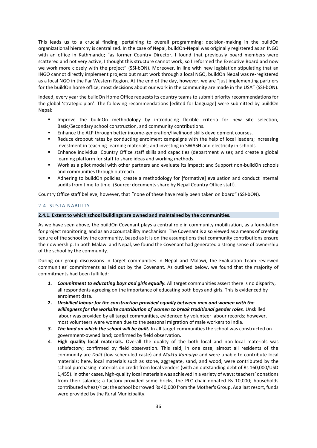This leads us to a crucial finding, pertaining to overall programming: decision-making in the buildOn organizational hierarchy is centralized. In the case of Nepal, buildOn-Nepal was originally registered as an INGO with an office in Kathmandu; "as former Country Director, I found that previously board members were scattered and not very active; I thought this structure cannot work, so I reformed the Executive Board and now we work more closely with the project" (SSI-bON). Moreover, in line with new legislation stipulating that an INGO cannot directly implement projects but must work through a local NGO, buildOn Nepal was re-registered as a local NGO in the Far Western Region. At the end of the day, however, we are "just implementing partners for the buildOn home office; most decisions about our work in the community are made in the USA" (SSI-bON).

Indeed, every year the buildOn Home Office requests its country teams to submit priority recommendations for the global 'strategic plan'. The following recommendations [edited for language] were submitted by buildOn Nepal:

- Improve the buildOn methodology by introducing flexible criteria for new site selection, Basic/Secondary school construction, and community contributions.
- Enhance the ALP through better income-generation/livelihood skills development courses.
- Reduce dropout rates by conducting enrolment campaigns with the help of local leaders; increasing investment in teaching-learning materials; and investing in SWASH and electricity in schools.
- Enhance individual Country Office staff skills and capacities (department wise); and create a global learning platform for staff to share ideas and working methods.
- Work as a pilot model with other partners and evaluate its impact; and Support non-buildOn schools and communities through outreach.
- Adhering to buildOn policies, create a methodology for [formative] evaluation and conduct internal audits from time to time. (Source: documents share by Nepal Country Office staff).

Country Office staff believe, however, that "none of these have really been taken on board" (SSI-bON).

#### 2.4. SUSTAINABILITY

#### **2.4.1. Extent to which school buildings are owned and maintained by the communities.**

As we have seen above, the buildOn Covenant plays a central role in community mobilization, as a foundation for project monitoring, and as an accountability mechanism. The Covenant is also viewed as a means of creating tenure of the school by the community, based as it is on the assumptions that community contributions ensure their ownership. In both Malawi and Nepal, we found the Covenant had generated a strong sense of ownership of the school by the community.

During our group discussions in target communities in Nepal and Malawi, the Evaluation Team reviewed communities' commitments as laid out by the Covenant. As outlined below, we found that the majority of commitments had been fulfilled:

- *1. Commitment to educating boys and girls equally.* All target communities assert there is no disparity, all respondents agreeing on the importance of educating both boys and girls. This is evidenced by enrolment data.
- **2.** *Unskilled labour for the construction provided equally between men and women with the willingness for the worksite contribution of women to break traditional gender roles*. Unskilled labour was provided by all target communities, evidenced by volunteer labour records; however, most volunteers were women due to the seasonal migration of male workers to India.
- *3. The land on which the school will be built.* In all target communities the school was constructed on government-owned land; confirmed by field observation.
- 4. **High quality local materials.** Overall the quality of the both local and non-local materials was satisfactory; confirmed by field observation. This said, in one case, almost all residents of the community are *Dalit* (low scheduled caste) and *Mukta Kamaiya* and were unable to contribute local materials; here, local materials such as stone, aggregate, sand, and wood, were contributed by the school purchasing materials on credit from local venders (with an outstanding debt of Rs 160,000/USD 1,455). In other cases, high-quality local materials was achieved in a variety of ways: teachers' donations from their salaries; a factory provided some bricks; the PLC chair donated Rs 10,000; households contributed wheat/rice; the school borrowed Rs 40,000 from the Mother's Group. As a last resort, funds were provided by the Rural Municipality.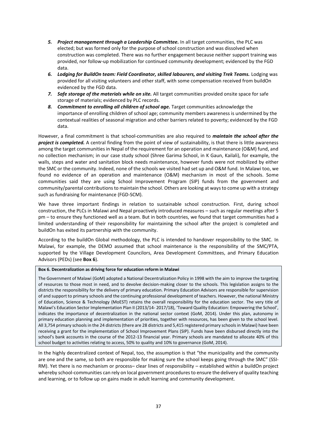- *5. Project management through a Leadership Committee.* In all target communities, the PLC was elected; but was formed only for the purpose of school construction and was dissolved when construction was completed. There was no further engagement because neither support training was provided, nor follow-up mobilization for continued community development; evidenced by the FGD data.
- *6. Lodging for BuildOn team: Field Coordinator, skilled labourers, and visiting Trek Teams.* Lodging was provided for all visiting volunteers and other staff, with some compensation received from buildOn evidenced by the FGD data.
- *7. Safe storage of the materials while on site.* All target communities provided onsite space for safe storage of materials; evidenced by PLC records.
- *8. Commitment to enrolling all children of school age.* Target communities acknowledge the importance of enrolling children of school age; community members awareness is undermined by the contextual realities of seasonal migration and other barriers related to poverty; evidenced by the FGD data.

However, a final commitment is that school-communities are also required to *maintain the school after the project is completed.* A central finding from the point of view of sustainability, is that there is little awareness among the target communities in Nepal of the requirement for an operation and maintenance (O&M) fund, and no collection mechanism; in our case study school (Shree Garima School, in K Gaun, Kailali), for example, the walls, steps and water and sanitation block needs maintenance, however funds were not mobilized by either the SMC or the community. Indeed, none of the schools we visited had set up and O&M fund. In Malawi too, we found no evidence of an operation and maintenance (O&M) mechanism in most of the schools. Some communities said they are using School Improvement Program (SIP) funds from the government and community/parental contributions to maintain the school. Others are looking at ways to come up with a strategy such as fundraising for maintenance (FGD-SCM).

We have three important findings in relation to sustainable school construction. First, during school construction, the PLCs in Malawi and Nepal proactively introduced measures – such as regular meetings after 5 pm – to ensure they functioned well as a team. But in both countries, we found that target communities had a limited understanding of their responsibility for maintaining the school after the project is completed and buildOn has exited its partnership with the community.

According to the buildOn Global methodology, the PLC is intended to handover responsibility to the SMC. In Malawi, for example, the DEMO assumed that school maintenance is the responsibility of the SMC/PTA, supported by the Village Development Councilors, Area Development Committees, and Primary Education Advisors (PEDs) (see **Box 6**).

#### **Box 6. Decentralization as driving force for education reform in Malawi**

The Government of Malawi (GoM) adopted a National Decentralization Policy in 1998 with the aim to improve the targeting of resources to those most in need, and to devolve decision-making closer to the schools. This legislation assigns to the districts the responsibility for the delivery of primary education. Primary Education Advisors are responsible for supervision of and support to primary schools and the continuing professional development of teachers. However, the national Ministry of Education, Science & Technology (MoEST) retains the overall responsibility for the education sector. The very title of Malawi's Education Sector Implementation Plan II (2013/14- 2017/18), 'Toward Quality Education: Empowering the School', indicates the importance of decentralization in the national sector context (GoM, 2014). Under this plan, autonomy in primary education planning and implementation of priorities, together with resources, has been given to the school level. All 3,754 primary schools in the 24 districts (there are 28 districts and 5,415 registered primary schools in Malawi) have been receiving a grant for the implementation of School Improvement Plans (SIP). Funds have been disbursed directly into the school's bank accounts in the course of the 2012-13 financial year. Primary schools are mandated to allocate 40% of this school budget to activities relating to access, 50% to quality and 10% to governance (GoM, 2014).

In the highly decentralized context of Nepal, too, the assumption is that "the municipality and the community are one and the same, so both are responsible for making sure the school keeps going through the SMC" (SSI-RM). Yet there is no mechanism or process– clear lines of responsibility – established within a buildOn project whereby school-communities can rely on local government proceduresto ensure the delivery of quality teaching and learning, or to follow up on gains made in adult learning and community development.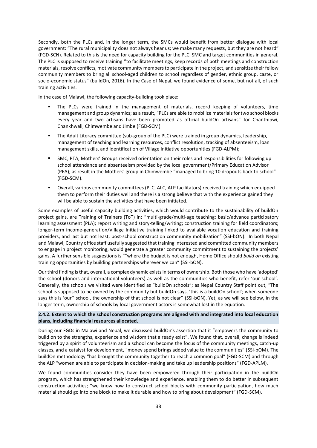Secondly, both the PLCs and, in the longer term, the SMCs would benefit from better dialogue with local government: "The rural municipality does not always hear us; we make many requests, but they are not heard" (FGD-SCN). Related to this is the need for capacity building for the PLC, SMC and target communities in general. The PLC is supposed to receive training ''to facilitate meetings, keep records of both meetings and construction materials, resolve conflicts, motivate community members to participate in the project, and sensitize their fellow community members to bring all school-aged children to school regardless of gender, ethnic group, caste, or socio-economic status" (buildOn, 2016). In the Case of Nepal, we found evidence of some, but not all, of such training activities.

In the case of Malawi, the following capacity-building took place:

- The PLCs were trained in the management of materials, record keeping of volunteers, time management and group dynamics; as a result, "PLCs are able to mobilize materials for two school blocks every year and two artisans have been promoted as official buildOn artisans" for Chanthipwi, Chankhwali, Chimwembe and Jimbe (FGD-SCM).
- **The Adult Literacy committee (sub-group of the PLC) were trained in group dynamics, leadership,** management of teaching and learning resources, conflict resolution, tracking of absenteeism, loan management skills, and identification of Village Initiative opportunities (FGD-ALPM);
- SMC, PTA, Mothers' Groups received orientation on their roles and responsibilities for following up school attendance and absenteeism provided by the local government/Primary Education Advisor (PEA); as result in the Mothers' group in Chimwembe "managed to bring 10 dropouts back to school" (FGD-SCM).
- Overall, various community committees (PLC, ALC, ALP facilitators) received training which equipped them to perform their duties well and there is a strong believe that with the experience gained they will be able to sustain the activities that have been initiated.

Some examples of useful capacity building activities, which would contribute to the sustainability of buildOn project gains, are Training of Trainers (ToT) in: "multi-grade/multi-age teaching; basic/advance participatory learning assessment (PLA); report writing and story-telling/writing; construction training for field coordinators; longer-term income-generation/Village Initiative training linked to available vocation education and training providers; and last but not least, post-school construction community mobilization" (SSI-bON). In both Nepal and Malawi, Country office staff usefully suggested that training interested and committed community members to engage in project monitoring, would generate a greater community commitment to sustaining the projects' gains. A further sensible suggestions is ""where the budget is not enough, Home Office should *build on* existing training opportunities by building partnerships wherever we can" (SSI-bON).

Our third finding is that, overall, a complex dynamic exists in terms of ownership. Both those who have 'adopted' the school (donors and international volunteers) as well as the communities who benefit, refer 'our school'. Generally, the schools we visited were identified as "buildOn schools"; as Nepal Country Staff point out, "The school is supposed to be owned by the community but buildOn says, 'this is a buildOn school'; when someone says this is 'our'' school, the ownership of that school is not clear" (SSI-bON). Yet, as we will see below, in the longer term, ownership of schools by local government actors is somewhat lost in the equation.

# **2.4.2. Extent to which the school construction programs are aligned with and integrated into local education plans, including financial resources allocated.**

During our FGDs in Malawi and Nepal, we discussed buildOn's assertion that it "empowers the community to build on to the strengths, experience and wisdom that already exist". We found that, overall, change is indeed triggered by a spirit of volunteerism and a school can become the focus of the community meetings, catch-up classes, and a catalyst for development, "money spend brings added value to the communities" (SSI-bOM). The buildOn methodology "has brought the community together to reach a common goal" (FGD-SCM) and through the ALP "women are able to participate in decision-making and take up leadership positions" (FGD-APLM).

We found communities consider they have been empowered through their participation in the buildOn program, which has strengthened their knowledge and experience, enabling them to do better in subsequent construction activities; "we know how to construct school blocks with community participation, how much material should go into one block to make it durable and how to bring about development" (FGD-SCM).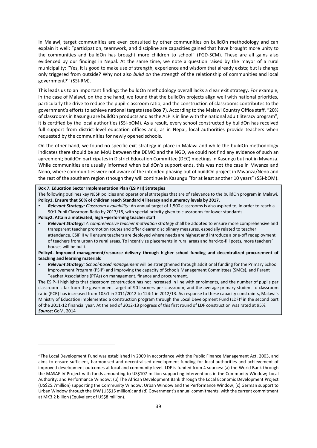In Malawi, target communities are even consulted by other communities on buildOn methodology and can explain it well; "participation, teamwork, and discipline are capacities gained that have brought more unity to the communities and buildOn has brought more children to school" (FGD-SCM). These are all gains also evidenced by our findings in Nepal. At the same time, we note a question raised by the mayor of a rural municipality: ''Yes, it is good to make use of strength, experience and wisdom that already exists; but is change only triggered from outside? Why not also *build on* the strength of the relationship of communities and local government?'' (SSI-RM).

This leads us to an important finding: the buildOn methodology overall lacks a clear exit strategy. For example, in the case of Malawi, on the one hand, we found that the buildOn projects align well with national priorities, particularly the drive to reduce the pupil-classroom ratio, and the construction of classrooms contributes to the government's efforts to achieve national targets (see **Box 7**). According to the Malawi Country Office staff, "20% of classrooms in Kasungu are buildOn products and as the ALP is in line with the national adult literacy program", it is certified by the local authorities (SSI-bOM). As a result, every school constructed by buildOn has received full support from district-level education offices and, as in Nepal, local authorities provide teachers when requested by the communities for newly opened schools.

On the other hand, we found no specific exit strategy in place in Malawi and while the buildOn methodology indicates there should be an MoU between the DEMO and the NGO, we could not find any evidence of such an agreement; buildOn participates in District Education Committee (DEC) meetings in Kasungu but not in Mwanza. While communities are usually informed when buildOn's support ends, this was not the case in Mwanza and Neno, where communities were not aware of the intended phasing out of buildOn project in Mwanza/Neno and the rest of the southern region (though they will continue in Kasungu "for at least another 10 years" (SSI-bOM).

#### **Box 7. Education Sector Implementation Plan (ESIP II) Strategies**

1

The following outlines key NESP policies and operational strategies that are of relevance to the buildOn program in Malawi. **Policy1. Ensure that 50% of children reach Standard 4 literacy and numeracy levels by 2017.**

- Relevant Strategy: Classroom availability: An annual target of 1,500 classrooms is also aspired to, in order to reach a 90:1 Pupil Classroom Ratio by 2017/18, with special priority given to classrooms for lower standards.
- **Policy2. Attain a motivated, high –performing teacher staff** Relevant Strategy: A comprehensive teacher motivation strategy shall be adopted to ensure more comprehensive and transparent teacher promotion routes and offer clearer disciplinary measures, especially related to teacher attendance. ESIP II will ensure teachers are deployed where needs are highest and introduce a one-off redeployment
- of teachers from urban to rural areas. To incentivize placements in rural areas and hard-to-fill posts, more teachers' houses will be built.

# **Policy4. Improved management/resource delivery through higher school funding and decentralized procurement of teaching and learning materials**

Relevant Strategy: School-based management will be strengthened through additional funding for the Primary School Improvement Program (PSIP) and improving the capacity of Schools Management Committees (SMCs), and Parent Teacher Associations (PTAs) on management, finance and procurement.

The ESIP-II highlights that classroom construction has not increased in line with enrolments, and the number of pupils per classroom is far from the government target of 90 learners per classroom; and the average primary student to classroom ratio (PCR) has increased from 105:1 in 2011/2012 to 124:1 in 2012/13. As response to these capacity constraints, Malawi's Ministry of Education implemented a construction program through the Local Development Fund (LDF)<sup>4</sup> in the second part of the 2011-12 financial year. At the end of 2012-13 progress of this first round of LDF construction was rated at 95%. *Source*: GoM, 2014

<sup>4</sup> The Local Development Fund was established in 2009 in accordance with the [Public Finance Management Act, 2003,](http://www.finance.gov.mw/index.php?option=com_docman&Itemid=114) and aims to ensure sufficient, harmonised and decentralised development funding for local authorities and achievement of improved development outcomes at local and community level. LDF is funded from 4 sources: (a) the [World Bank](http://www.worldbank.org/) through the [MASAF IV Project](http://www.ldf.gov.mw/?page_id=327) with funds amounting to US\$107 million supporting interventions in the [Community Window;](http://www.ldf.gov.mw/?page_id=48) [Local](http://www.ldf.gov.mw/?page_id=50)  [Authority;](http://www.ldf.gov.mw/?page_id=50) and [Performance Window;](http://www.ldf.gov.mw/?page_id=54) (b) The [African Development Bank](http://www.afdb.org/en/) through the Local Economic Development Project (US\$25.7million) supporting the [Community Window;](http://www.ldf.gov.mw/?page_id=48) [Urban Window](http://www.ldf.gov.mw/?page_id=52) and the [Performance Window;](http://www.ldf.gov.mw/?page_id=54) (c) German support to [Urban Window](http://www.ldf.gov.mw/?page_id=52) through the KfW (US\$15 million); and (d) Government's annual commitments, with the current commitment at MK3.2 billion (Equivalent of US\$8 million).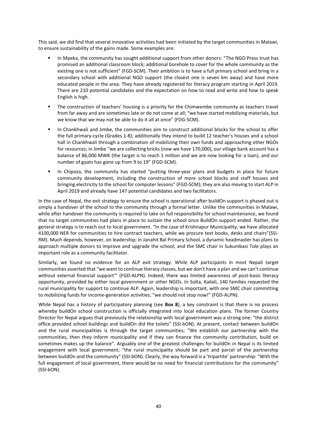This said, we did find that several innovative activities had been initiated by the target communities in Malawi, to ensure sustainability of the gains made. Some examples are:

- In Mpeka, the community has sought additional support from other donors: "The NGO Press trust has promised an additional classroom block; additional borehole to cover for the whole community as the existing one is not sufficient" (FGD-SCM). Their ambition is to have a full primary school and bring in a secondary school with additional NGO support (the closest one is seven km away) and have more educated people in the area. They have already registered for literacy program starting in April 2019. There are 210 potential candidates and the expectation on how to read and write and how to speak English is high.
- The construction of teachers' housing is a priority for the Chimwembe community as teachers travel from far away and are sometimes late or do not come at all; "we have started mobilizing materials, but we know that we may not be able to do it all at once" (FDG-SCM).
- In Chankhwali and Jimbe, the communities aim to construct additional blocks for the school to offer the full primary-cycle (Grades 1-8); additionally they intend to build 12 teacher's houses and a school hall in Chankhwali through a combination of mobilizing their own funds and approaching other NGOs for resources; in Jimbe "we are collecting bricks (now we have 170,000), our village bank account has a balance of 86,000 MWK (the target is to reach 1 million and we are now looking for a loan), and our number of goats has gone up from 9 to 19" (FGD-SCM).
- **.** In Chipoza, the community has started "putting three-year plans and budgets in place for future community development, including the construction of more school blocks and staff houses and bringing electricity to the school for computer lessons" (FGD-SCM); they are also moving to start ALP in April 2019 and already have 147 potential candidates and two facilitators.

In the case of Nepal, the exit strategy to ensure the school is operational after buildOn support is phased out is simply a handover of the school to the community through a formal letter. Unlike the communities in Malawi, while after handover the community is required to take on full responsibility for school maintenance, we found that no target communities had plans in place to sustain the school once BuildOn support ended. Rather, the general strategy is to reach out to local government. "In the case of Krishnapur Municipality, we have allocated 4100,000 NER for communities to hire contract teachers, while we procure text books, desks and chairs"(SSI-RM). Much depends, however, on leadership; in Janahit Bal Primary School, a dynamic headmaster has plans to approach multiple donors to improve and upgrade the school; and the SMC chair in Sukumbasi Tole plays an important role as a community facilitator.

Similarly, we found no evidence for an ALP exit strategy. While ALP participants in most Nepali target communities asserted that "we want to continue literacy classes, but we don't have a plan and we can't continue without external financial support"' (FGD-ALPN). Indeed, there was limited awareness of post-basic literacy opportunity, provided by either local government or other NGOs. In Solta, Kailali, 140 families requested the rural municipality for support to continue ALP. Again, leadership is important, with one SMC chair committing to mobilizing funds for income-generation activities; "we should not stop now!" (FGD-ALPN).

While Nepal has a history of participatory planning (see **Box 8**), a key constraint is that there is no process whereby buildOn school construction is officially integrated into local education plans. The former Country Director for Nepal argues that previously the relationship with local government was a strong one: "the district office provided school buildings and buildOn did the toilets" (SSI-bON). At present, contact between buildOn and the rural municipalities is through the target communities; "We establish our partnership with the communities, then they inform municipality and if they can finance the community contribution, build on sometimes makes up the balance". Arguably one of the greatest challenges for buildOn in Nepal is its limited engagement with local government; "the rural municipality should be part and parcel of the partnership between buildOn and the community" (SSI-bON). Clearly, the way forward is a 'tripartite' partnership: "With the full engagement of local government, there would be no need for financial contributions for the community" (SSI-bON).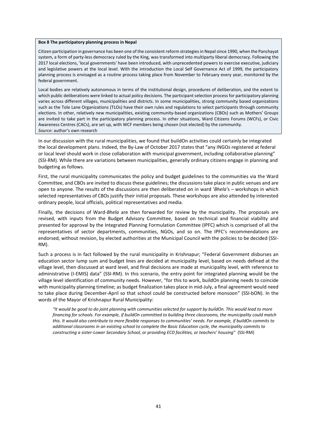#### **Box 8 The participatory planning process in Nepal**

Citizen participation in governance has been one of the consistent reform strategies in Nepal since 1990, when the Panchayat system, a form of party-less democracy ruled by the King, was transformed into multiparty liberal democracy. Following the 2017 local elections, 'local governments' have been introduced, with unprecedented powers to exercise executive, judiciary and legislative powers at the local level. With the introduction the Local Self Governance Act of 1999, the participatory planning process is envisaged as a routine process taking place from November to February every year, monitored by the federal government.

Local bodies are relatively autonomous in terms of the institutional design, procedures of deliberation, and the extent to which public deliberations were linked to actual policy decisions. The participant selection process for participatory planning varies across different villages, municipalities and districts. In some municipalities, strong community based organizations such as the Tole Lane Organizations (TLOs) have their own rules and regulations to select participants through community elections. In other, relatively new municipalities, existing community-based organizations (CBOs) such as Mothers' Groups are invited to take part in the participatory planning process. In other situations, Ward Citizens Forums (WCFs), or Civic Awareness Centres (CACs), are set up, with WCF members being chosen (not elected) by the community. *Source*: author's own research

In our discussion with the rural municipalities, we found that buildOn activities could certainly be integrated the local development plans. Indeed, the By-Law of October 2017 states that "any INGOs registered at federal or local level should work in close collaboration with municipal government, including collaborative planning" (SSI-RM). While there are variations between municipalities, generally ordinary citizens engage in planning and budgeting as follows.

First, the rural municipality communicates the policy and budget guidelines to the communities via the Ward Committee, and CBOs are invited to discuss these guidelines; the discussions take place in public venues and are open to anyone. The results of the discussions are then deliberated on in ward '*Bhela'*s – workshops in which selected representatives of CBOs justify their initial proposals. These workshops are also attended by interested ordinary people, local officials, political representatives and media.

Finally, the decisions of Ward-*Bhela* are then forwarded for review by the municipality. The proposals are revised, with inputs from the Budget Advisory Committee, based on technical and financial viability and presented for approval by the Integrated Planning Formulation Committee (IPFC) which is comprised of all the representatives of sector departments, communities, NGOs, and so on. The IPFC's recommendations are endorsed, without revision, by elected authorities at the Municipal Council with the policies to be decided (SSI-RM).

Such a process is in fact followed by the rural municipality in Krishnapur; "Federal Government disburses an education sector lump sum and budget lines are decided at municipality level, based on needs defined at the village level, then discussed at ward level, and final decisions are made at municipality level, with reference to administrative (I-EMIS) data" (SSI-RM). In this scenario, the entry point for integrated planning would be the village level identification of community needs. However, "for this to work, buildOn planning needs to coincide with municipality planning timeline; as budget finalization takes place in mid-July, a final agreement would need to take place during December-April so that school could be constructed before monsoon" (SSI-bON). In the words of the Mayor of Krishnapur Rural Municipality:

*"It would be good to do joint planning with communities selected for support by buildOn. This would lead to more financing for schools. For example, if buildOn committed to building three classrooms, the municipality could match this. It would also contribute to more flexible responses to communities' needs. For example, if buildOn commits to additional classrooms in an existing school to complete the Basic Education cycle, the municipality commits to constructing a sister-Lower Secondary School, or providing ECD facilities, or teachers' housing"* (SSI-RM)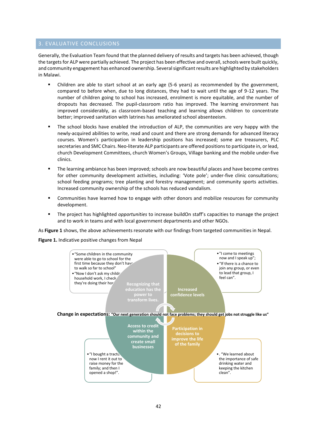# 3. EVALUATIVE CONCLUSIONS

Generally, the Evaluation Team found that the planned delivery of results and targets has been achieved, though the targets for ALP were partially achieved. The project has been effective and overall, schools were built quickly, and community engagement has enhanced ownership. Several significant results are highlighted by stakeholders in Malawi.

- Children are able to start school at an early age (5-6 years) as recommended by the government, compared to before when, due to long distances, they had to wait until the age of 9-12 years. The number of children going to school has increased, enrolment is more equitable, and the number of dropouts has decreased. The pupil-classroom ratio has improved. The learning environment has improved considerably, as classroom-based teaching and learning allows children to concentrate better; improved sanitation with latrines has ameliorated school absenteeism.
- The school blocks have enabled the introduction of ALP, the communities are very happy with the newly-acquired abilities to write, read and count and there are strong demands for advanced literacy courses. Women's participation in leadership positions has increased; some are treasurers, PLC secretaries and SMC Chairs. Neo-literate ALP participants are offered positions to participate in, or lead, church Development Committees, church Women's Groups, Village banking and the mobile under-five clinics.
- The learning ambiance has been improved; schools are now beautiful places and have become centres for other community development activities, including: 'Vote pole'; under-five clinic consultations; school feeding programs; tree planting and forestry management; and community sports activities. Increased community ownership of the schools has reduced vandalism.
- **•** Communities have learned how to engage with other donors and mobilize resources for community development.
- The project has highlighted *opportunities* to increase buildOn staff's capacities to manage the project and to work in teams and with local government departments and other NGOs.

As **Figure 1** shows, the above achievements resonate with our findings from targeted communities in Nepal.

**Figure 1.** Indicative positive changes from Nepal

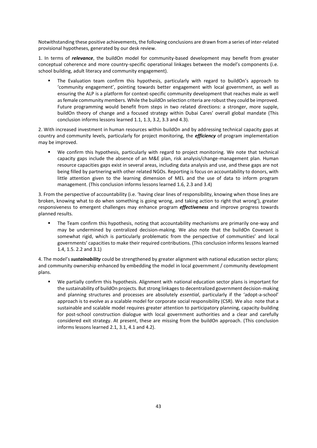Notwithstanding these positive achievements, the following conclusions are drawn from a series of inter-related provisional hypotheses, generated by our desk review.

1. In terms of *relevance*, the buildOn model for community-based development may benefit from greater conceptual coherence and more country-specific operational linkages between the model's components (i.e. school building, adult literacy and community engagement).

The Evaluation team confirm this hypothesis, particularly with regard to buildOn's approach to 'community engagement', pointing towards better engagement with local government, as well as ensuring the ALP is a platform for context-specific community development that reaches male as well as female community members. While the buildOn selection criteria are robust they could be improved. Future programming would benefit from steps in two related directions: a stronger, more supple, buildOn theory of change and a focused strategy within Dubai Cares' overall global mandate (This conclusion informs lessons learned 1.1, 1.3, 3.2, 3.3 and 4.3).

2. With increased investment in human resources within buildOn and by addressing technical capacity gaps at country and community levels, particularly for project monitoring, the *efficiency* of program implementation may be improved.

We confirm this hypothesis, particularly with regard to project monitoring. We note that technical capacity gaps include the absence of an M&E plan, risk analysis/change-management plan. Human resource capacities gaps exist in several areas, including data analysis and use, and these gaps are not being filled by partnering with other related NGOs. Reporting is focus on accountability to donors, with little attention given to the learning dimension of MEL and the use of data to inform program management. (This conclusion informs lessons learned 1.6, 2.3 and 3.4)

3. From the perspective of accountability (i.e. 'having clear lines of responsibility, knowing when those lines are broken, knowing what to do when something is going wrong, and taking action to right that wrong'), greater responsiveness to emergent challenges may enhance program *effectiveness* and improve progress towards planned results.

The Team confirm this hypothesis, noting that accountability mechanisms are primarily one-way and may be undermined by centralized decision-making. We also note that the buildOn Covenant is somewhat rigid, which is particularly problematic from the perspective of communities' and local governments' capacities to make their required contributions. (This conclusion informs lessons learned 1.4, 1.5. 2.2 and 3.1)

4. The model's *sustainability* could be strengthened by greater alignment with national education sector plans; and community ownership enhanced by embedding the model in local government / community development plans.

▪ We partially confirm this hypothesis. Alignment with national education sector plans is important for the sustainability of buildOn projects. But strong linkages to decentralized government decision-making and planning structures and processes are absolutely *essential*, particularly if the 'adopt-a-school' approach is to evolve as a scalable model for corporate social responsibility (CSR). We also note that a sustainable and scalable model requires greater attention to participatory planning, capacity-building for post-school construction dialogue with local government authorities and a clear and carefully considered exit strategy. At present, these are missing from the buildOn approach. (This conclusion informs lessons learned 2.1, 3.1, 4.1 and 4.2).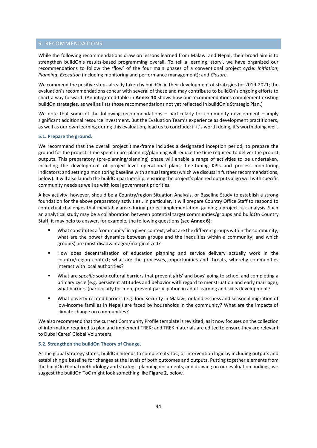# 5. RECOMMENDATIONS

While the following recommendations draw on lessons learned from Malawi and Nepal, their broad aim is to strengthen buildOn's results-based programming overall. To tell a learning 'story', we have organized our recommendations to follow the 'flow' of the four main phases of a conventional project cycle: *Initiation*; *Planning*; *Execution* (including monitoring and performance management); and *Closure.*

We commend the positive steps already taken by buildOn in their development of strategies for 2019-2021; the evaluation's recommendations concur with several of these and may contribute to buildOn's ongoing efforts to chart a way forward. (An integrated table in **Annex 10** shows how our recommendations complement existing buildOn strategies, as well as lists those recommendations not yet reflected in buildOn's Strategic Plan.)

We note that some of the following recommendations - particularly for community development - imply significant additional resource investment. But the Evaluation Team's experience as development practitioners, as well as our own learning during this evaluation, lead us to conclude: if it's worth doing, it's worth doing well.

#### **5.1. Prepare the ground.**

We recommend that the overall project time-frame includes a designated inception period, to prepare the ground for the project. Time spent in pre-planning/planning will reduce the time required to deliver the project outputs. This preparatory (pre-planning/planning) phase will enable a range of activities to be undertaken, including the development of project-level operational plans; fine-tuning KPIs and process monitoring indicators; and setting a monitoring baseline with annual targets (which we discuss in further recommendations, below). It will also launch the buildOn partnership, ensuring the project's planned outputs align well with specific community needs as well as with local government priorities.

A key activity, however, should be a Country/region Situation Analysis, or Baseline Study to establish a strong foundation for the above preparatory activities . In particular, it will prepare Country Office Staff to respond to contextual challenges that inevitably arise during project implementation, guiding a project risk analysis. Such an analytical study may be a collaboration between potential target communities/groups and buildOn Country Staff; it may help to answer, for example, the following questions (see **Annex 6**):

- What constitutes a 'community' in a given context; what are the different groups within the community; what are the power dynamics between groups and the inequities within a community; and which group(s) are most disadvantaged/marginalized?
- How does decentralization of education planning and service delivery actually work in the country/region context; what are the processes, opportunities and threats, whereby communities interact with local authorities?
- What are *specific* socio-cultural barriers that prevent girls' and boys' going to school and completing a primary cycle (e.g. persistent attitudes and behavior with regard to menstruation and early marriage); what barriers (particularly for men) prevent participation in adult learning and skills development?
- What poverty-related barriers (e.g. food security in Malawi, or landlessness and seasonal migration of low-income families in Nepal) are faced by households in the community? What are the impacts of climate change on communities?

We also recommend that the current Community Profile template is revisited, as it now focuses on the collection of information required to plan and implement TREK; and TREK materials are edited to ensure they are relevant to Dubai Cares' Global Volunteers.

# **5.2. Strengthen the buildOn Theory of Change.**

As the global strategy states, buildOn intends to complete its ToC, or intervention logic by including outputs and establishing a baseline for changes at the levels of both outcomes and outputs. Putting together elements from the buildOn Global methodology and strategic planning documents, and drawing on our evaluation findings, we suggest the buildOn ToC might look something like **Figure 2**, below.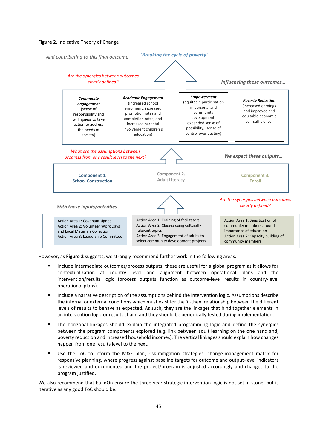# **Figure 2.** Indicative Theory of Change



However, as **Figure 2** suggests, we strongly recommend further work in the following areas.

- Include intermediate outcomes/process outputs; these are useful for a global program as it allows for contextualization at country level and alignment between operational plans and the intervention/results logic (process outputs function as outcome-level results in country-level operational plans).
- **■** Include a narrative description of the assumptions behind the intervention logic. Assumptions describe the internal or external conditions which must exist for the 'if-then' relationship between the different levels of results to behave as expected. As such, they are the linkages that bind together elements in an intervention logic or results chain, and they should be periodically tested during implementation.
- The horizonal linkages should explain the integrated programming logic and define the synergies between the program components explored (e.g. link between adult learning on the one hand and, poverty reduction and increased household incomes). The vertical linkages should explain how changes happen from one results level to the next.
- Use the ToC to inform the M&E plan; risk-mitigation strategies; change-management matrix for responsive planning, where progress against baseline targets for outcome and output-level indicators is reviewed and documented and the project/program is adjusted accordingly and changes to the program justified.

We also recommend that buildOn ensure the three-year strategic intervention logic is not set in stone, but is iterative as any good ToC should be.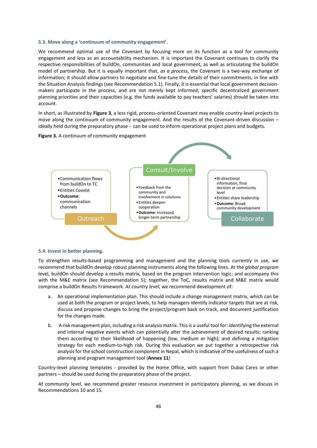#### **5.3. Move along a 'continuum of community engagement'**.

We recommend optimal use of the Covenant by focusing more on its function as a tool for community engagement and less as an accountability mechanism. It is important the Covenant continues to clarify the respective responsibilities of buildOn, communities and local government, as well as articulating the buildOn model of partnership. But it is equally important that, *as a process*, the Covenant is a two-way exchange of information; it should allow partners to negotiate and fine-tune the details of their commitments, in line with the Situation Analysis findings (see Recommendation 5.1). Finally, it is essential that local government decisionmakers participate in the process, and are not merely kept informed; specific decentralized government planning priorities and their capacities (e.g. the funds available to pay teachers' salaries) should be taken into account.

In short, as illustrated by **Figure 3**, a less rigid, process-oriented Covenant may enable country-level projects to move along the continuum of community engagement. And the results of the Covenant-driven discussion – ideally held during the preparatory phase - can be used to inform operational project plans and budgets.





#### **5.4. Invest in better planning.**

To strengthen results-based programming and management and the planning tools currently in use, we recommend that buildOn develop robust planning instruments along the following lines. At the *global program*  level, buildOn should develop a results matrix, based on the program intervention logic; and accompany this with the M&E matrix (see Recommendation 5); together, the ToC, results matrix and M&E matrix would comprise a buildOn Results Framework. At *country level*, we recommend development of:

- a. An operational implementation plan. This should include a change management matrix, which can be used at both the program or project levels, to help managers identify indicator targets that are at risk, discuss and propose changes to bring the project/program back on track, and document justification for the changes made.
- b. A risk management plan, including a risk analysis matrix. This is a useful tool for: identifying the external and internal negative events which can potentially alter the achievement of desired results; ranking them according to their likelihood of happening (low, medium or high); and defining a mitigation strategy for each medium-to-high risk. During this evaluation we put together a retrospective risk analysis for the school construction component in Nepal, which is indicative of the usefulness of such a planning and program management tool (**Annex 11**)

Country-level planning templates - provided by the Home Office, with support from Dubai Cares or other partners – should be used during the preparatory phase of the project.

At *community* level, we recommend greater resource investment in participatory planning, as we discuss in Recommendations 10 and 15.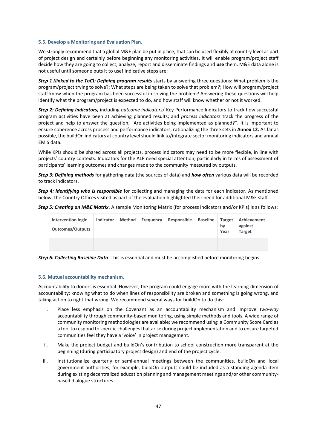#### **5.5. Develop a Monitoring and Evaluation Plan***.*

We strongly recommend that a global M&E plan be put in place, that can be used flexibly at country level as part of project design and certainly before beginning any monitoring activities. It will enable program/project staff decide how they are going to collect, analyze, report and disseminate findings and **use** them. M&E data alone is not useful until someone puts it to use! Indicative steps are:

*Step 1 (linked to the ToC): Defining program results* starts by answering three questions: What problem is the program/project trying to solve?; What steps are being taken to solve that problem?; How will program/project staff know when the program has been successful in solving the problem? Answering these questions will help identify what the program/project is expected to do, and how staff will know whether or not it worked.

*Step 2: Defining Indicators,* including *outcome indicators*/ Key Performance Indicators to track how successful program activities have been at achieving planned results; and *process indicators* track the progress of the project and help to answer the question, "Are activities being implemented as planned?". It is important to ensure coherence across process and performance indicators, rationalizing the three sets in **Annex 12.** As far as possible, the buildOn indicators at country level should link to/integrate sector monitoring indicators and annual EMIS data.

While KPIs should be shared across all projects, process indicators may need to be more flexible, in line with projects' country contexts. Indicators for the ALP need special attention, particularly in terms of assessment of participants' learning outcomes and changes made to the community measured by outputs.

*Step 3: Defining methods* for gathering data (the sources of data) and *how often* various data will be recorded to track indicators.

*Step 4: Identifying who is responsible* for collecting and managing the data for each indicator. As mentioned below, the Country Offices visited as part of the evaluation highlighted their need for additional M&E staff.

| Step 5: Creating an M&E Matrix. A sample Monitoring Matrix (for process indicators and/or KPIs) is as follows: |  |                            |  |                                         |  |
|----------------------------------------------------------------------------------------------------------------|--|----------------------------|--|-----------------------------------------|--|
| <b>Intervention logic</b>                                                                                      |  | Indicator Method Frequency |  | Responsible Baseline Target Achievement |  |

| <b>Intervention logic</b><br><b>Outcomes/Outputs</b> | Indicator | Method | Frequency | Responsible | <b>Baseline</b> | <b>Target</b><br>bv<br>Year | Achievement  <br>against<br><b>Target</b> |
|------------------------------------------------------|-----------|--------|-----------|-------------|-----------------|-----------------------------|-------------------------------------------|
|                                                      |           |        |           |             |                 |                             |                                           |

*Step 6: Collecting Baseline Data*. This is essential and must be accomplished before monitoring begins.

#### **5.6. Mutual accountability mechanism.**

Accountability to donors is essential. However, the program could engage more with the learning dimension of accountability: knowing what to do when lines of responsibility are broken and something is going wrong, and taking action to right that wrong. We recommend several ways for buildOn to do this**:** 

- i. Place less emphasis on the Covenant as an accountability mechanism and improve *two-way* accountability through community-based monitoring, using simple methods and tools. A wide range of community monitoring methodologies are available; we recommend using a Community Score Card as a tool to respond to specific challenges that arise during project implementation and to ensure targeted communities feel they have a 'voice' in project management.
- ii. Make the project budget and buildOn's contribution to school construction more transparent at the beginning (during participatory project design) and end of the project cycle.
- iii. Institutionalize quarterly or semi-annual meetings between the communities, buildOn and local government authorities; for example, buildOn outputs could be included as a standing agenda item during existing decentralized education planning and management meetings and/or other communitybased dialogue structures.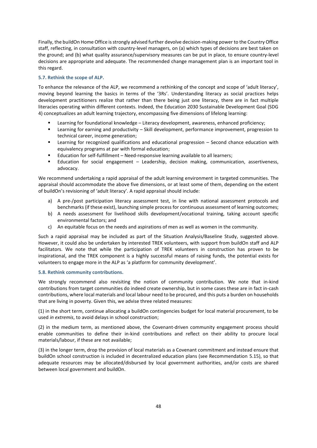Finally, the buildOn Home Office is strongly advised further devolve decision-making power to the Country Office staff, reflecting, in consultation with country-level managers, on (a) which types of decisions are best taken on the ground; and (b) what quality assurance/supervisory measures can be put in place, to ensure country-level decisions are appropriate and adequate. The recommended change management plan is an important tool in this regard.

# **5.7. Rethink the scope of ALP.**

To enhance the relevance of the ALP, we recommend a rethinking of the concept and scope of 'adult literacy', moving beyond learning the basics in terms of the '3Rs'. Understanding literacy as social practices helps development practitioners realize that rather than there being just one literacy, there are in fact multiple literacies operating within different contexts. Indeed, the Education 2030 Sustainable Development Goal (SDG 4) conceptualizes an adult learning trajectory, encompassing five dimensions of lifelong learning:

- Learning for foundational knowledge Literacy development, awareness, enhanced proficiency;
- Learning for earning and productivity Skill development, performance improvement, progression to technical career, income generation;
- **■** Learning for recognized qualifications and educational progression Second chance education with equivalency programs at par with formal education;
- Education for self-fulfillment Need-responsive learning available to all learners;
- **Education for social engagement Leadership, decision making, communication, assertiveness,** advocacy.

We recommend undertaking a rapid appraisal of the adult learning environment in targeted communities. The appraisal should accommodate the above five dimensions, or at least some of them, depending on the extent of buildOn's revisioning of 'adult literacy'. A rapid appraisal should include:

- a) A pre-/post participation literacy assessment test, in line with national assessment protocols and benchmarks (if these exist), launching simple process for continuous assessment of learning outcomes;
- b) A needs assessment for livelihood skills development/vocational training, taking account specific environmental factors; and
- c) An equitable focus on the needs and aspirations of men as well as women in the community.

Such a rapid appraisal may be included as part of the Situation Analysis/Baseline Study, suggested above. However, it could also be undertaken by interested TREK volunteers, with support from buildOn staff and ALP facilitators. We note that while the participation of TREK volunteers in construction has proven to be inspirational, and the TREK component is a highly successful means of raising funds, the potential exists for volunteers to engage more in the ALP as 'a platform for community development'.

#### **5.8. Rethink community contributions.**

We strongly recommend also revisiting the notion of community contribution. We note that in-kind contributions from target communities do indeed create ownership, but in some cases these are in fact in-cash contributions, where local materials and local labour need to be procured, and this puts a burden on households that are living in poverty. Given this, we advise three related measures:

(1) in the short term, continue allocating a buildOn contingencies budget for local material procurement, to be used *in extremis*, to avoid delays in school construction;

(2) in the medium term, as mentioned above, the Covenant-driven community engagement process should enable communities to define their in-kind contributions and reflect on their ability to procure local materials/labour, if these are not available;

(3) in the longer term, drop the provision of local materials as a Covenant commitment and instead ensure that buildOn school construction is included in decentralized education plans (see Recommendation 5.15), so that adequate resources may be allocated/disbursed by local government authorities, and/or costs are shared between local government and buildOn.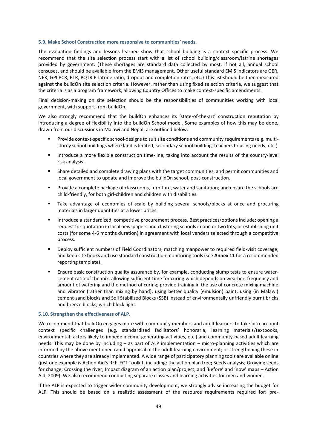#### **5.9. Make School Construction more responsive to communities' needs.**

The evaluation findings and lessons learned show that school building is a context specific process. We recommend that the site selection process start with a list of school building/classroom/latrine shortages provided by government. (These shortages are standard data collected by most, if not all, annual school censuses, and should be available from the EMIS management. Other useful standard EMIS indicators are GER, NER, GPI PCR, PTR, PQTR P-latrine ratio, dropout and completion rates, etc.) This list should be then measured against the buildOn site selection criteria. However, rather than using fixed selection criteria, we suggest that the criteria is as a program framework, allowing Country Offices to make context-specific amendments.

Final decision-making on site selection should be the responsibilities of communities working with local government, with support from buildOn.

We also strongly recommend that the buildOn enhances its 'state-of-the-art' construction reputation by introducing a degree of flexibility into the buildOn School model. Some examples of how this may be done, drawn from our discussions in Malawi and Nepal, are outlined below:

- Provide context-specific school-designs to suit site conditions and community requirements (e.g. multistorey school buildings where land is limited, secondary school building, teachers housing needs, etc.)
- Introduce a more flexible construction time-line, taking into account the results of the country-level risk analysis.
- **■** Share detailed and complete drawing plans with the target communities; and permit communities and local government to update and improve the buildOn school, post-construction.
- Provide a complete package of classrooms, furniture, water and sanitation; and ensure the schools are child-friendly, for both girl-children and children with disabilities.
- Take advantage of economies of scale by building several schools/blocks at once and procuring materials in larger quantities at a lower prices.
- Introduce a standardized, competitive procurement process. Best practices/options include: opening a request for quotation in local newspapers and clustering schools in one or two lots; or establishing unit costs (for some 4-6 months duration) in agreement with local venders selected through a competitive process.
- Deploy sufficient numbers of Field Coordinators, matching manpower to required field-visit coverage; and keep site books and use standard construction monitoring tools (see **Annex 11** for a recommended reporting template).
- Ensure basic construction quality assurance by, for example, conducting slump tests to ensure watercement ratio of the mix; allowing sufficient time for curing which depends on weather, frequency and amount of watering and the method of curing; provide training in the use of concrete mixing machine and vibrator (rather than mixing by hand); using better quality (emulsion) paint; using (in Malawi) cement-sand blocks and Soil Stabilized Blocks (SSB) instead of environmentally unfriendly burnt bricks and breeze blocks, which block light.

#### **5.10. Strengthen the effectiveness of ALP.**

We recommend that buildOn engages more with community members and adult learners to take into account context specific challenges (e.g. standardized facilitators' honoraria, learning materials/textbooks, environmental factors likely to impede income-generating activities, etc.) and community-based adult learning needs. This may be done by including – as part of ALP implementation – micro-planning activities which are informed by the above mentioned rapid appraisal of the adult learning environment; or strengthening these in countries where they are already implemented. A wide range of participatory planning tools are available online (just one example is Action Aid's REFLECT Toolkit, including: the action plan tree**;** Seeds analysis**;** Growing seeds for change; Crossing the river; Impact diagram of an action plan/project; and 'Before' and 'now' maps – Action Aid, 2009). We also recommend conducting separate classes and learning activities for men and women.

If the ALP is expected to trigger wider community development, we strongly advise increasing the budget for ALP. This should be based on a realistic assessment of the resource requirements required for: pre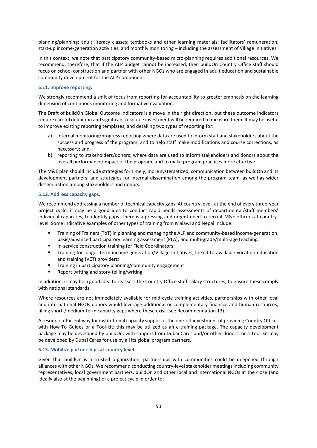planning/planning; adult literacy classes; textbooks and other learning materials; facilitators' remuneration; start-up income-generation activities; and monthly monitoring – including the assessment of Village Initiatives.

In this context, we note that participatory community-based micro-planning requires additional resources. We recommend, therefore, that if the ALP budget cannot be increased, then buildOn Country Office staff should focus on school construction and partner with other NGOs who are engaged in adult education and sustainable community development for the ALP component.

#### **5.11. Improve reporting.**

We strongly recommend a shift of focus from reporting-for-accountability to greater emphasis on the learning dimension of continuous monitoring and formative evaluation.

The Draft of buildOn Global Outcome Indicators is a move in the right direction, but these outcome indicators require careful definition and significant resource investment will be required to measure them. It may be useful to improve existing reporting templates, and detailing two types of reporting for:

- a) internal monitoring/progress reporting where data are used to inform staff and stakeholders about the success and progress of the program; and to help staff make modifications and course corrections, as necessary; and
- b) reporting to stakeholders/donors; where data are used to inform stakeholders and donors about the overall performance/impact of the program; and to make program practices more effective.

The M&E plan should include strategies for timely, more systematized, communication between buildOn and its development partners; and strategies for internal dissemination among the program team, as well as wider dissemination among stakeholders and donors.

#### **5.12. Address capacity gaps.**

We recommend addressing a number of technical capacity gaps. At country level, at the end of every three-year project cycle, it may be a good idea to conduct rapid needs assessments of departmental/staff members' individual capacities, to identify gaps. There is a pressing and urgent need to recruit M&E officers at countrylevel. Some indicative examples of other types of training from Malawi and Nepal include:

- Training of Trainers (ToT) in planning and managing the ALP and community-based income-generation; basic/advanced participatory learning assessment (PLA); and multi-grade/multi-age teaching;
- In-service construction training for Field Coordinators;
- Training for longer-term income-generation/Village Initiatives, linked to available vocation education and training (VET) providers;
- Training in participatory planning/community engagement
- Report writing and story-telling/writing.

In addition, it may be a good idea to reassess the Country Office staff-salary structures, to ensure these comply with national standards.

Where resources are not immediately available for mid-cycle training activities, partnerships with other local and international NGOs donors would leverage additional or complementary financial and human resources, filling short-/medium-term capacity gaps where these exist (see Recommendation 13).

A resource-efficient way for institutional capacity support is the one-off investment of providing Country Offices with How-To Guides or a Tool-kit; this may be utilized as an e-training package. The capacity development package may be developed by buildOn, with support from Dubai Cares and/or other donors; or a Tool-kit may be developed by Dubai Cares for use by all its global program partners.

#### **5.13. Mobilize partnerships at country level.**

Given that buildOn is a trusted organization, partnerships with communities could be deepened through alliances with other NGOs. We recommend conducting country-level stakeholder meetings including community representatives, local government partners, buildOn and other local and international NGOs at the close (and ideally also at the beginning) of a project cycle in order to: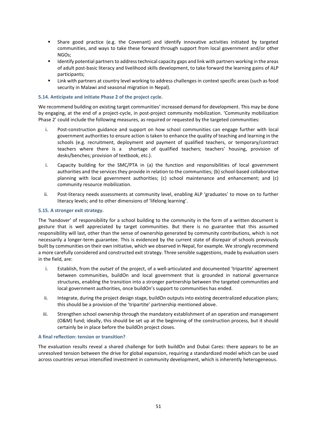- Share good practice (e.g. the Covenant) and identify innovative activities initiated by targeted communities, and ways to take these forward through support from local government and/or other NGOs;
- Identify potential partners to address technical capacity gaps and link with partners working in the areas of adult post-basic literacy and livelihood skills development, to take forward the learning gains of ALP participants;
- Link with partners at country level working to address challenges in context specific areas (such as food security in Malawi and seasonal migration in Nepal).

#### **5.14. Anticipate and initiate Phase 2 of the project cycle.**

We recommend building on existing target communities' increased demand for development. This may be done by engaging, at the end of a project-cycle, in post-project community mobilization. 'Community mobilization Phase 2' could include the following measures, as required or requested by the targeted communities:

- i. Post-construction guidance and support on how school communities can engage further with local government authorities to ensure action is taken to enhance the quality of teaching and learning in the schools (e.g. recruitment, deployment and payment of qualified teachers, or temporary/contract teachers where there is a shortage of qualified teachers; teachers' housing, provision of desks/benches; provision of textbook, etc.).
- i. Capacity building for the SMC/PTA in (a) the function and responsibilities of local government authorities and the services they provide in relation to the communities; (b) school-based collaborative planning with local government authorities; (c) school maintenance and enhancement; and (c) community resource mobilization.
- ii. Post-literacy needs assessments at community level, enabling ALP 'graduates' to move on to further literacy levels; and to other dimensions of 'lifelong learning'.

#### **5.15. A stronger exit strategy.**

The 'handover' of responsibility for a school building to the community in the form of a written document is gesture that is well appreciated by target communities. But there is no guarantee that this assumed responsibility will last, other than the sense of ownership generated by community contributions, which is not necessarily a longer-term guarantee. This is evidenced by the current state of disrepair of schools previously built by communities on their own initiative, which we observed in Nepal, for example. We strongly recommend a more carefully considered and constructed exit strategy. Three sensible suggestions, made by evaluation users in the field, are:

- i. Establish, from the *outset* of the project, of a well-articulated and documented 'tripartite' agreement between communities, buildOn and local government that is grounded in national governance structures, enabling the transition into a stronger partnership between the targeted communities and local government authorities, once buildOn's support to communities has ended.
- ii. Integrate, during the project design stage, buildOn outputs into existing decentralized education plans; this should be a provision of the 'tripartite' partnership mentioned above.
- iii. Strengthen school ownership through the mandatory establishment of an operation and management (O&M) fund; ideally, this should be set up at the beginning of the construction process, but it should certainly be in place before the buildOn project closes.

#### **A final reflection: tension or transition?**

The evaluation results reveal a shared challenge for both buildOn and Dubai Cares: there appears to be an unresolved tension between the drive for global expansion, requiring a standardized model which can be used across countries *versus* intensified investment in community development, which is inherently heterogeneous.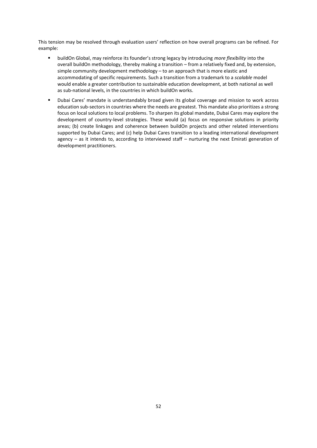This tension may be resolved through evaluation users' reflection on how overall programs can be refined. For example:

- buildOn Global, may reinforce its founder's strong legacy by introducing *more flexibility* into the overall buildOn methodology, thereby making a transition – from a relatively fixed and, by extension, simple community development methodology – to an approach that is more elastic and accommodating of specific requirements. Such a transition from a trademark to a *scalable* model would enable a greater contribution to sustainable education development, at both national as well as sub-national levels, in the countries in which buildOn works.
- Dubai Cares' mandate is understandably broad given its global coverage and mission to work across education sub-sectors in countries where the needs are greatest. This mandate also prioritizes a strong focus on local solutions to local problems. To sharpen its global mandate, Dubai Cares may explore the development of country-level strategies. These would (a) focus on responsive solutions in priority areas; (b) create linkages and coherence between buildOn projects and other related interventions supported by Dubai Cares; and (c) help Dubai Cares transition to a leading international development agency – as it intends to, according to interviewed staff – nurturing the next Emirati generation of development practitioners.